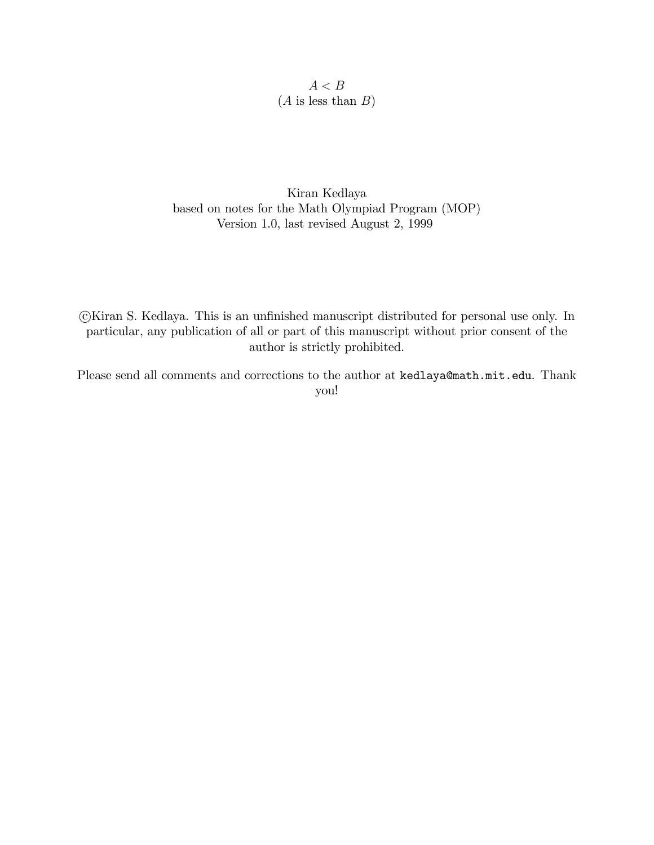$A < B$  $(A \text{ is less than } B)$ 

Kiran Kedlaya based on notes for the Math Olympiad Program (MOP) Version 1.0, last revised August 2, 1999

CKiran S. Kedlaya. This is an unfinished manuscript distributed for personal use only. In particular, any publication of all or part of this manuscript without prior consent of the author is strictly prohibited.

Please send all comments and corrections to the author at kedlaya@math.mit.edu. Thank you!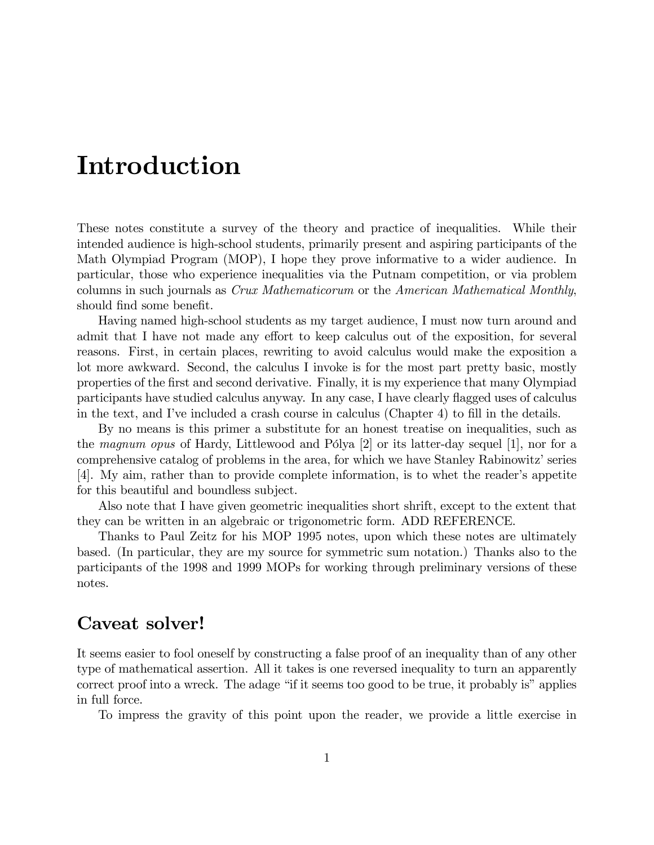# Introduction

These notes constitute a survey of the theory and practice of inequalities. While their intended audience is high-school students, primarily present and aspiring participants of the Math Olympiad Program (MOP), I hope they prove informative to a wider audience. In particular, those who experience inequalities via the Putnam competition, or via problem columns in such journals as Crux Mathematicorum or the American Mathematical Monthly, should find some benefit.

Having named high-school students as my target audience, I must now turn around and admit that I have not made any effort to keep calculus out of the exposition, for several reasons. First, in certain places, rewriting to avoid calculus would make the exposition a lot more awkward. Second, the calculus I invoke is for the most part pretty basic, mostly properties of the Örst and second derivative. Finally, it is my experience that many Olympiad participants have studied calculus anyway. In any case, I have clearly flagged uses of calculus in the text, and I've included a crash course in calculus (Chapter 4) to fill in the details.

By no means is this primer a substitute for an honest treatise on inequalities, such as the magnum opus of Hardy, Littlewood and PÛlya [2] or its latter-day sequel [1], nor for a comprehensive catalog of problems in the area, for which we have Stanley Rabinowitz' series [4]. My aim, rather than to provide complete information, is to whet the reader's appetite for this beautiful and boundless subject.

Also note that I have given geometric inequalities short shrift, except to the extent that they can be written in an algebraic or trigonometric form. ADD REFERENCE.

Thanks to Paul Zeitz for his MOP 1995 notes, upon which these notes are ultimately based. (In particular, they are my source for symmetric sum notation.) Thanks also to the participants of the 1998 and 1999 MOPs for working through preliminary versions of these notes.

## Caveat solver!

It seems easier to fool oneself by constructing a false proof of an inequality than of any other type of mathematical assertion. All it takes is one reversed inequality to turn an apparently correct proof into a wreck. The adage "if it seems too good to be true, it probably is" applies in full force.

To impress the gravity of this point upon the reader, we provide a little exercise in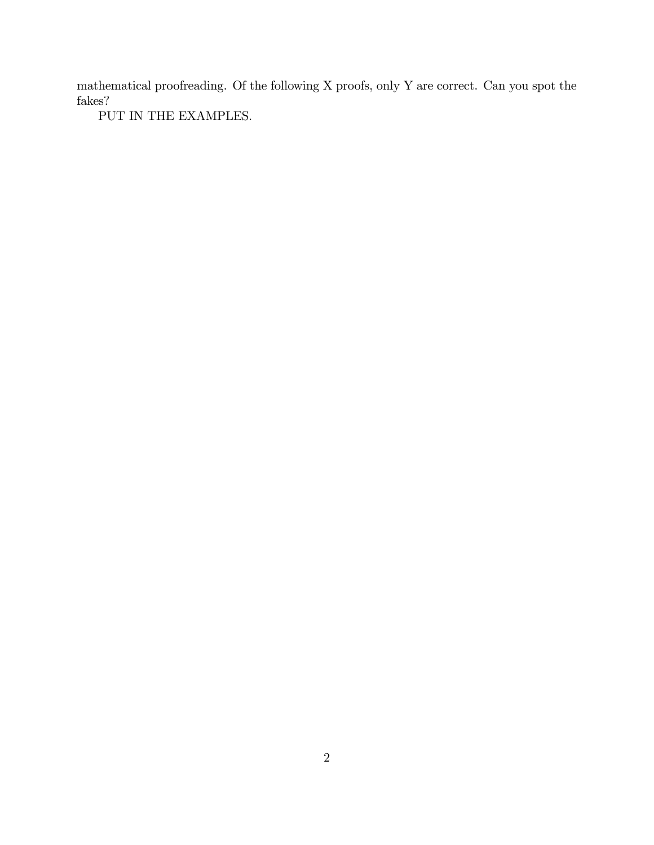mathematical proofreading. Of the following X proofs, only Y are correct. Can you spot the fakes?

PUT IN THE EXAMPLES.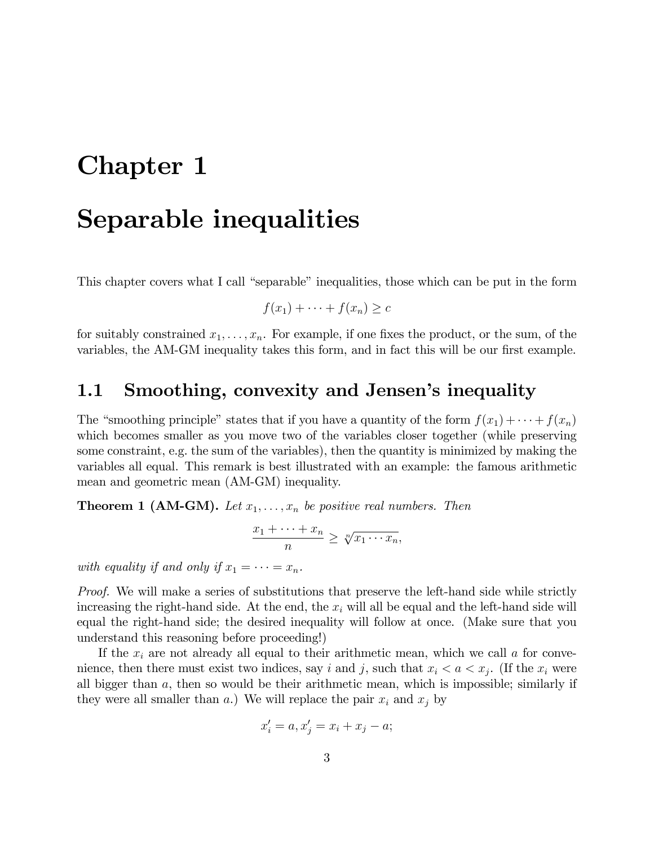# Chapter 1

# Separable inequalities

This chapter covers what I call "separable" inequalities, those which can be put in the form

$$
f(x_1) + \cdots + f(x_n) \ge c
$$

for suitably constrained  $x_1, \ldots, x_n$ . For example, if one fixes the product, or the sum, of the variables, the AM-GM inequality takes this form, and in fact this will be our first example.

## 1.1 Smoothing, convexity and Jensen's inequality

The "smoothing principle" states that if you have a quantity of the form  $f(x_1) + \cdots + f(x_n)$ which becomes smaller as you move two of the variables closer together (while preserving some constraint, e.g. the sum of the variables), then the quantity is minimized by making the variables all equal. This remark is best illustrated with an example: the famous arithmetic mean and geometric mean (AM-GM) inequality.

**Theorem 1 (AM-GM).** Let  $x_1, \ldots, x_n$  be positive real numbers. Then

$$
\frac{x_1 + \dots + x_n}{n} \ge \sqrt[n]{x_1 \cdots x_n},
$$

with equality if and only if  $x_1 = \cdots = x_n$ .

Proof. We will make a series of substitutions that preserve the left-hand side while strictly increasing the right-hand side. At the end, the  $x_i$  will all be equal and the left-hand side will equal the right-hand side; the desired inequality will follow at once. (Make sure that you understand this reasoning before proceeding!)

If the  $x_i$  are not already all equal to their arithmetic mean, which we call a for convenience, then there must exist two indices, say i and j, such that  $x_i < a < x_j$ . (If the  $x_i$  were all bigger than  $a$ , then so would be their arithmetic mean, which is impossible; similarly if they were all smaller than a.) We will replace the pair  $x_i$  and  $x_j$  by

$$
x_i' = a, x_j' = x_i + x_j - a;
$$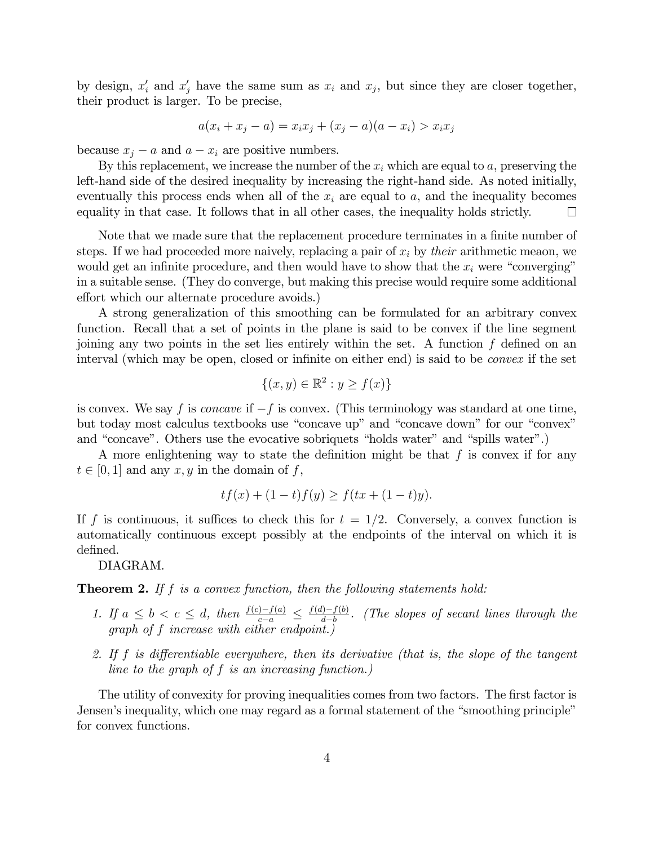by design,  $x_i'$  and  $x_j'$  have the same sum as  $x_i$  and  $x_j$ , but since they are closer together, their product is larger. To be precise,

$$
a(x_i + x_j - a) = x_i x_j + (x_j - a)(a - x_i) > x_i x_j
$$

because  $x_j - a$  and  $a - x_i$  are positive numbers.

By this replacement, we increase the number of the  $x_i$  which are equal to a, preserving the left-hand side of the desired inequality by increasing the right-hand side. As noted initially, eventually this process ends when all of the  $x_i$  are equal to a, and the inequality becomes equality in that case. It follows that in all other cases, the inequality holds strictly.  $\Box$ 

Note that we made sure that the replacement procedure terminates in a finite number of steps. If we had proceeded more naively, replacing a pair of  $x_i$  by their arithmetic meaon, we would get an infinite procedure, and then would have to show that the  $x_i$  were "converging" in a suitable sense. (They do converge, but making this precise would require some additional effort which our alternate procedure avoids.)

A strong generalization of this smoothing can be formulated for an arbitrary convex function. Recall that a set of points in the plane is said to be convex if the line segment joining any two points in the set lies entirely within the set. A function  $f$  defined on an interval (which may be open, closed or infinite on either end) is said to be *convex* if the set

$$
\{(x, y) \in \mathbb{R}^2 : y \ge f(x)\}
$$

is convex. We say f is *concave* if  $-f$  is convex. (This terminology was standard at one time, but today most calculus textbooks use "concave up" and "concave down" for our "convex" and "concave". Others use the evocative sobriquets "holds water" and "spills water".)

A more enlightening way to state the definition might be that  $f$  is convex if for any  $t \in [0, 1]$  and any  $x, y$  in the domain of f,

$$
tf(x) + (1-t)f(y) \ge f(tx + (1-t)y).
$$

If f is continuous, it suffices to check this for  $t = 1/2$ . Conversely, a convex function is automatically continuous except possibly at the endpoints of the interval on which it is defined.

DIAGRAM.

**Theorem 2.** If f is a convex function, then the following statements hold:

- 1. If  $a \leq b < c \leq d$ , then  $\frac{f(c)-f(a)}{c-a} \leq \frac{f(d)-f(b)}{d-b}$  $\frac{d-b}{d-b}$ . (The slopes of secant lines through the graph of f increase with either endpoint.)
- 2. If f is differentiable everywhere, then its derivative (that is, the slope of the tangent line to the graph of f is an increasing function.)

The utility of convexity for proving inequalities comes from two factors. The first factor is Jensen's inequality, which one may regard as a formal statement of the "smoothing principle" for convex functions.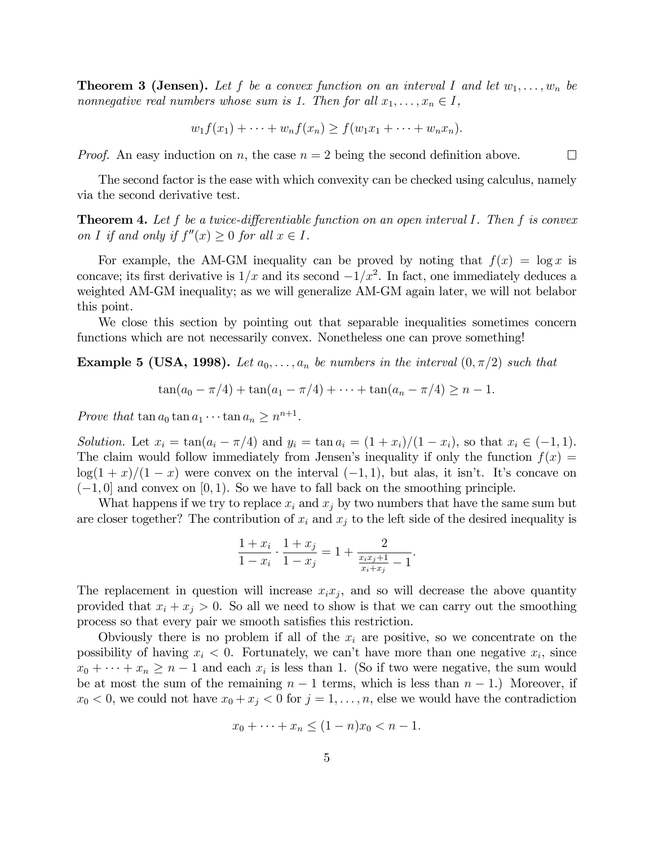**Theorem 3 (Jensen).** Let f be a convex function on an interval I and let  $w_1, \ldots, w_n$  be nonnegative real numbers whose sum is 1. Then for all  $x_1, \ldots, x_n \in I$ ,

$$
w_1 f(x_1) + \cdots + w_n f(x_n) \ge f(w_1 x_1 + \cdots + w_n x_n).
$$

*Proof.* An easy induction on n, the case  $n = 2$  being the second definition above.

The second factor is the ease with which convexity can be checked using calculus, namely via the second derivative test.

**Theorem 4.** Let f be a twice-differentiable function on an open interval I. Then f is convex on I if and only if  $f''(x) \geq 0$  for all  $x \in I$ .

For example, the AM-GM inequality can be proved by noting that  $f(x) = \log x$  is concave; its first derivative is  $1/x$  and its second  $-1/x^2$ . In fact, one immediately deduces a weighted AM-GM inequality; as we will generalize AM-GM again later, we will not belabor this point.

We close this section by pointing out that separable inequalities sometimes concern functions which are not necessarily convex. Nonetheless one can prove something!

**Example 5 (USA, 1998).** Let  $a_0, \ldots, a_n$  be numbers in the interval  $(0, \pi/2)$  such that

$$
\tan(a_0 - \pi/4) + \tan(a_1 - \pi/4) + \cdots + \tan(a_n - \pi/4) \ge n - 1.
$$

Prove that  $\tan a_0 \tan a_1 \cdots \tan a_n \geq n^{n+1}$ .

Solution. Let  $x_i = \tan(a_i - \pi/4)$  and  $y_i = \tan a_i = (1 + x_i)/(1 - x_i)$ , so that  $x_i \in (-1, 1)$ . The claim would follow immediately from Jensen's inequality if only the function  $f(x) =$  $\log(1 + x)/(1 - x)$  were convex on the interval  $(-1, 1)$ , but alas, it isn't. It's concave on  $(-1, 0]$  and convex on  $[0, 1)$ . So we have to fall back on the smoothing principle.

What happens if we try to replace  $x_i$  and  $x_j$  by two numbers that have the same sum but are closer together? The contribution of  $x_i$  and  $x_j$  to the left side of the desired inequality is

$$
\frac{1+x_i}{1-x_i} \cdot \frac{1+x_j}{1-x_j} = 1 + \frac{2}{\frac{x_ix_j+1}{x_i+x_j} - 1}.
$$

The replacement in question will increase  $x_i x_j$ , and so will decrease the above quantity provided that  $x_i + x_j > 0$ . So all we need to show is that we can carry out the smoothing process so that every pair we smooth satisfies this restriction.

Obviously there is no problem if all of the  $x_i$  are positive, so we concentrate on the possibility of having  $x_i < 0$ . Fortunately, we can't have more than one negative  $x_i$ , since  $x_0 + \cdots + x_n \geq n - 1$  and each  $x_i$  is less than 1. (So if two were negative, the sum would be at most the sum of the remaining  $n-1$  terms, which is less than  $n-1$ .) Moreover, if  $x_0 < 0$ , we could not have  $x_0 + x_j < 0$  for  $j = 1, \ldots, n$ , else we would have the contradiction

$$
x_0 + \dots + x_n \le (1 - n)x_0 < n - 1.
$$

 $\Box$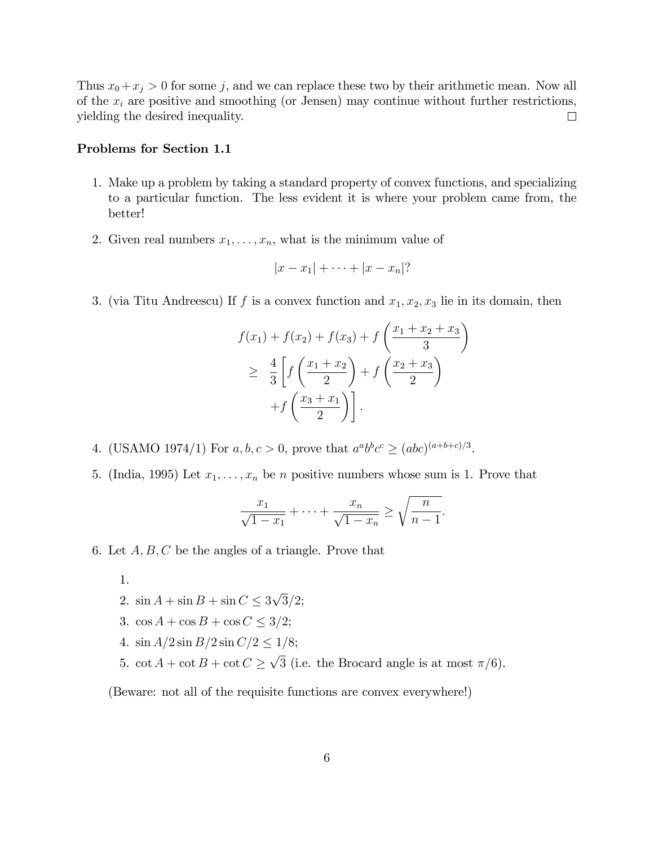Thus  $x_0 + x_j > 0$  for some j, and we can replace these two by their arithmetic mean. Now all of the  $x_i$  are positive and smoothing (or Jensen) may continue without further restrictions, yielding the desired inequality.  $\Box$ 

### Problems for Section 1.1

- 1. Make up a problem by taking a standard property of convex functions, and specializing to a particular function. The less evident it is where your problem came from, the better!
- 2. Given real numbers  $x_1, \ldots, x_n$ , what is the minimum value of

$$
|x-x_1|+\cdots+|x-x_n|?
$$

3. (via Titu Andreescu) If f is a convex function and  $x_1, x_2, x_3$  lie in its domain, then

$$
f(x_1) + f(x_2) + f(x_3) + f\left(\frac{x_1 + x_2 + x_3}{3}\right)
$$
  
\n
$$
\geq \frac{4}{3} \left[ f\left(\frac{x_1 + x_2}{2}\right) + f\left(\frac{x_2 + x_3}{2}\right) + f\left(\frac{x_3 + x_1}{2}\right) \right].
$$

- 4. (USAMO 1974/1) For  $a, b, c > 0$ , prove that  $a^a b^b c^c \ge (abc)^{(a+b+c)/3}$ .
- 5. (India, 1995) Let  $x_1, \ldots, x_n$  be n positive numbers whose sum is 1. Prove that

$$
\frac{x_1}{\sqrt{1-x_1}}+\cdots+\frac{x_n}{\sqrt{1-x_n}}\geq \sqrt{\frac{n}{n-1}}.
$$

- 6. Let  $A, B, C$  be the angles of a triangle. Prove that
	- 1.
	- 2.  $\sin A + \sin B + \sin C \leq 3\sqrt{3}/2;$
	- 3.  $\cos A + \cos B + \cos C \leq 3/2;$
	- 4.  $\sin A/2 \sin B/2 \sin C/2 \leq 1/8;$
	- 5.  $\cot A + \cot B + \cot C \geq \sqrt{3}$  (i.e. the Brocard angle is at most  $\pi/6$ ).

(Beware: not all of the requisite functions are convex everywhere!)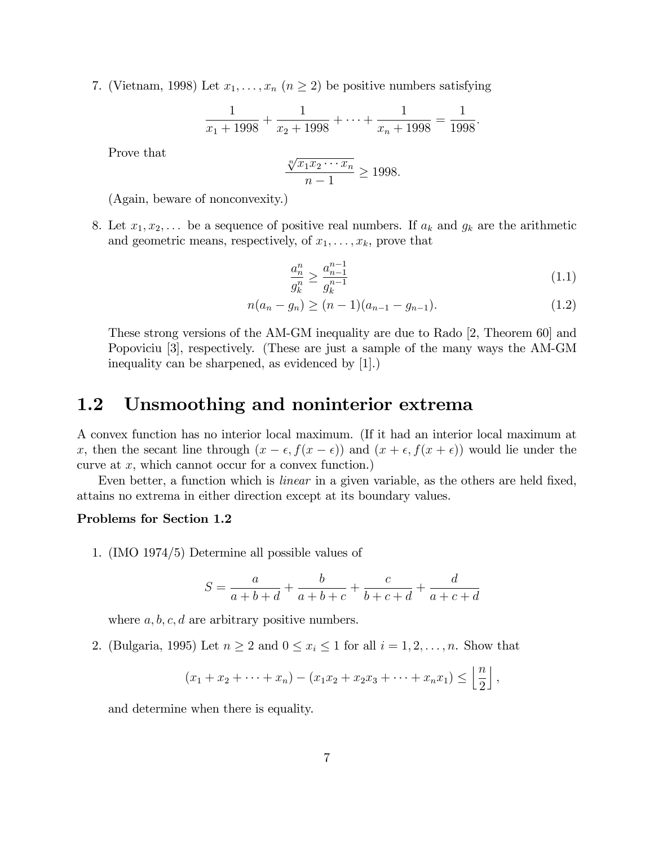7. (Vietnam, 1998) Let  $x_1, \ldots, x_n$   $(n \geq 2)$  be positive numbers satisfying

$$
\frac{1}{x_1+1998}+\frac{1}{x_2+1998}+\cdots+\frac{1}{x_n+1998}=\frac{1}{1998}.
$$

Prove that

$$
\frac{\sqrt[n]{x_1 x_2 \cdots x_n}}{n-1} \ge 1998.
$$

(Again, beware of nonconvexity.)

8. Let  $x_1, x_2, \ldots$  be a sequence of positive real numbers. If  $a_k$  and  $g_k$  are the arithmetic and geometric means, respectively, of  $x_1, \ldots, x_k$ , prove that

$$
\frac{a_n^n}{g_k^n} \ge \frac{a_{n-1}^{n-1}}{g_k^{n-1}}\tag{1.1}
$$

$$
n(a_n - g_n) \ge (n - 1)(a_{n-1} - g_{n-1}).
$$
\n(1.2)

These strong versions of the AM-GM inequality are due to Rado [2, Theorem 60] and Popoviciu [3], respectively. (These are just a sample of the many ways the AM-GM inequality can be sharpened, as evidenced by [1].)

## 1.2 Unsmoothing and noninterior extrema

A convex function has no interior local maximum. (If it had an interior local maximum at x, then the secant line through  $(x - \epsilon, f(x - \epsilon))$  and  $(x + \epsilon, f(x + \epsilon))$  would lie under the curve at x, which cannot occur for a convex function.)

Even better, a function which is *linear* in a given variable, as the others are held fixed, attains no extrema in either direction except at its boundary values.

### Problems for Section 1.2

1. (IMO 1974/5) Determine all possible values of

$$
S = \frac{a}{a+b+d} + \frac{b}{a+b+c} + \frac{c}{b+c+d} + \frac{d}{a+c+d}
$$

where  $a, b, c, d$  are arbitrary positive numbers.

2. (Bulgaria, 1995) Let  $n \geq 2$  and  $0 \leq x_i \leq 1$  for all  $i = 1, 2, \ldots, n$ . Show that

$$
(x_1 + x_2 + \cdots + x_n) - (x_1x_2 + x_2x_3 + \cdots + x_nx_1) \le \left\lfloor \frac{n}{2} \right\rfloor
$$

and determine when there is equality.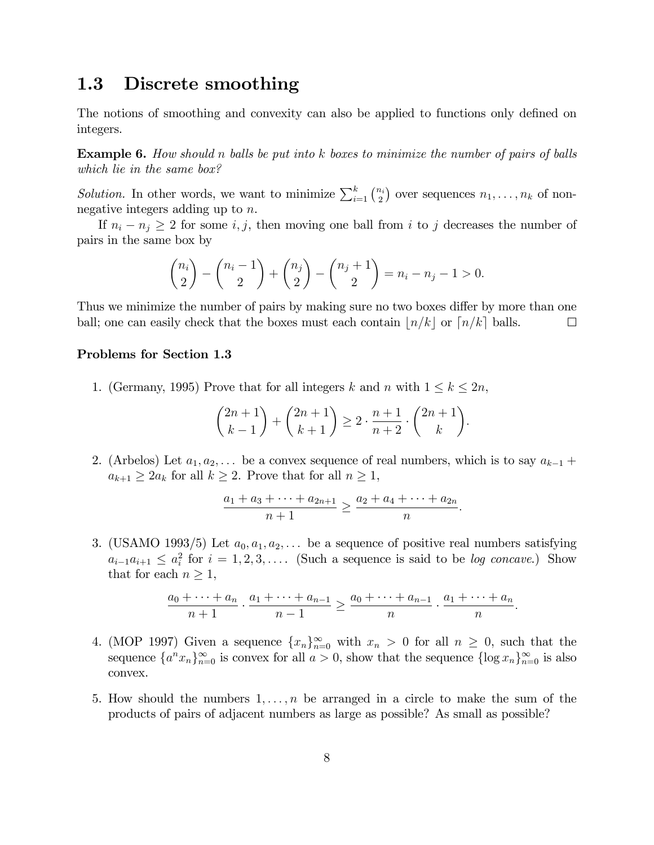## 1.3 Discrete smoothing

The notions of smoothing and convexity can also be applied to functions only defined on integers.

Example 6. How should n balls be put into k boxes to minimize the number of pairs of balls which lie in the same box?

Solution. In other words, we want to minimize  $\sum_{i=1}^{k} \binom{n_i}{2}$  $\binom{n_i}{2}$  over sequences  $n_1, \ldots, n_k$  of nonnegative integers adding up to n.

If  $n_i - n_j \geq 2$  for some i, j, then moving one ball from i to j decreases the number of pairs in the same box by

$$
\binom{n_i}{2} - \binom{n_i - 1}{2} + \binom{n_j}{2} - \binom{n_j + 1}{2} = n_i - n_j - 1 > 0.
$$

Thus we minimize the number of pairs by making sure no two boxes differ by more than one ball; one can easily check that the boxes must each contain  $\lfloor n/k \rfloor$  or  $\lfloor n/k \rfloor$  balls.  $\Box$ 

### Problems for Section 1.3

1. (Germany, 1995) Prove that for all integers k and n with  $1 \leq k \leq 2n$ ,

$$
\binom{2n+1}{k-1} + \binom{2n+1}{k+1} \ge 2 \cdot \frac{n+1}{n+2} \cdot \binom{2n+1}{k}.
$$

2. (Arbelos) Let  $a_1, a_2, \ldots$  be a convex sequence of real numbers, which is to say  $a_{k-1}$  +  $a_{k+1} \geq 2a_k$  for all  $k \geq 2$ . Prove that for all  $n \geq 1$ ,

$$
\frac{a_1 + a_3 + \dots + a_{2n+1}}{n+1} \ge \frac{a_2 + a_4 + \dots + a_{2n}}{n}.
$$

3. (USAMO 1993/5) Let  $a_0, a_1, a_2, \ldots$  be a sequence of positive real numbers satisfying  $a_{i-1}a_{i+1} \leq a_i^2$  for  $i = 1, 2, 3, \ldots$  (Such a sequence is said to be log concave.) Show that for each  $n \geq 1$ ,

$$
\frac{a_0 + \dots + a_n}{n+1} \cdot \frac{a_1 + \dots + a_{n-1}}{n-1} \ge \frac{a_0 + \dots + a_{n-1}}{n} \cdot \frac{a_1 + \dots + a_n}{n}.
$$

- 4. (MOP 1997) Given a sequence  $\{x_n\}_{n=0}^{\infty}$  with  $x_n > 0$  for all  $n \geq 0$ , such that the sequence  $\{a^n x_n\}_{n=0}^{\infty}$  is convex for all  $a > 0$ , show that the sequence  $\{\log x_n\}_{n=0}^{\infty}$  is also convex.
- 5. How should the numbers  $1, \ldots, n$  be arranged in a circle to make the sum of the products of pairs of adjacent numbers as large as possible? As small as possible?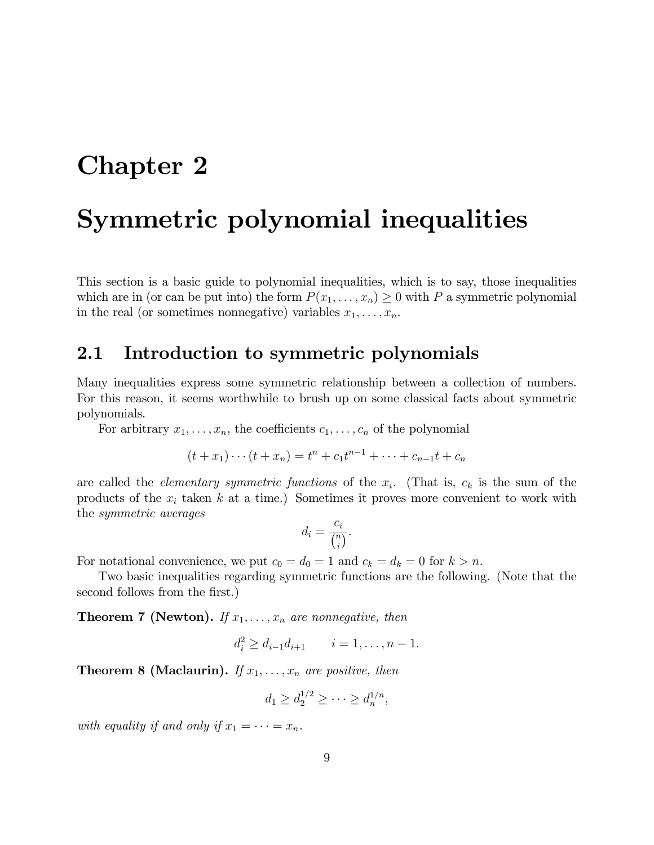# Chapter 2

# Symmetric polynomial inequalities

This section is a basic guide to polynomial inequalities, which is to say, those inequalities which are in (or can be put into) the form  $P(x_1, \ldots, x_n) \geq 0$  with P a symmetric polynomial in the real (or sometimes nonnegative) variables  $x_1, \ldots, x_n$ .

## 2.1 Introduction to symmetric polynomials

Many inequalities express some symmetric relationship between a collection of numbers. For this reason, it seems worthwhile to brush up on some classical facts about symmetric polynomials.

For arbitrary  $x_1, \ldots, x_n$ , the coefficients  $c_1, \ldots, c_n$  of the polynomial

$$
(t+x_1)\cdots (t+x_n) = t^n + c_1t^{n-1} + \cdots + c_{n-1}t + c_n
$$

are called the *elementary symmetric functions* of the  $x_i$ . (That is,  $c_k$  is the sum of the products of the  $x_i$  taken k at a time.) Sometimes it proves more convenient to work with the symmetric averages

$$
d_i = \frac{c_i}{\binom{n}{i}}.
$$

For notational convenience, we put  $c_0 = d_0 = 1$  and  $c_k = d_k = 0$  for  $k > n$ .

Two basic inequalities regarding symmetric functions are the following. (Note that the second follows from the first.)

**Theorem 7 (Newton).** If  $x_1, \ldots, x_n$  are nonnegative, then

 $d_i^2 \geq d_{i-1}d_{i+1}$   $i = 1, \ldots, n-1.$ 

**Theorem 8 (Maclaurin).** If  $x_1, \ldots, x_n$  are positive, then

$$
d_1 \ge d_2^{1/2} \ge \cdots \ge d_n^{1/n},
$$

with equality if and only if  $x_1 = \cdots = x_n$ .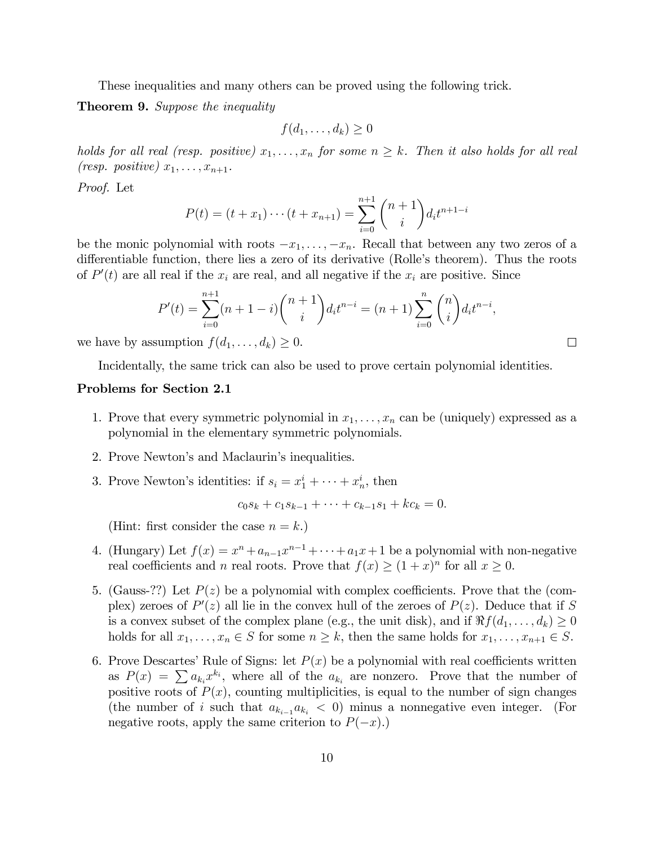These inequalities and many others can be proved using the following trick.

**Theorem 9.** Suppose the inequality

$$
f(d_1,\ldots,d_k)\geq 0
$$

holds for all real (resp. positive)  $x_1, \ldots, x_n$  for some  $n \geq k$ . Then it also holds for all real (resp. positive)  $x_1, \ldots, x_{n+1}$ .

Proof. Let

$$
P(t) = (t + x_1) \cdots (t + x_{n+1}) = \sum_{i=0}^{n+1} {n+1 \choose i} d_i t^{n+1-i}
$$

be the monic polynomial with roots  $-x_1, \ldots, -x_n$ . Recall that between any two zeros of a differentiable function, there lies a zero of its derivative (Rolle's theorem). Thus the roots of  $P'(t)$  are all real if the  $x_i$  are real, and all negative if the  $x_i$  are positive. Since

$$
P'(t) = \sum_{i=0}^{n+1} (n+1-i) \binom{n+1}{i} d_i t^{n-i} = (n+1) \sum_{i=0}^{n} \binom{n}{i} d_i t^{n-i},
$$

 $\Box$ 

we have by assumption  $f(d_1, \ldots, d_k) \geq 0$ .

Incidentally, the same trick can also be used to prove certain polynomial identities.

### Problems for Section 2.1

- 1. Prove that every symmetric polynomial in  $x_1, \ldots, x_n$  can be (uniquely) expressed as a polynomial in the elementary symmetric polynomials.
- 2. Prove Newton's and Maclaurin's inequalities.
- 3. Prove Newton's identities: if  $s_i = x_1^i + \cdots + x_n^i$ , then

 $c_0s_k + c_1s_{k-1} + \cdots + c_{k-1}s_1 + kc_k = 0.$ 

(Hint: first consider the case  $n = k$ .)

- 4. (Hungary) Let  $f(x) = x^n + a_{n-1}x^{n-1} + \cdots + a_1x + 1$  be a polynomial with non-negative real coefficients and *n* real roots. Prove that  $f(x) \ge (1 + x)^n$  for all  $x \ge 0$ .
- 5. (Gauss-??) Let  $P(z)$  be a polynomial with complex coefficients. Prove that the (complex) zeroes of  $P'(z)$  all lie in the convex hull of the zeroes of  $P(z)$ . Deduce that if S is a convex subset of the complex plane (e.g., the unit disk), and if  $\Re f(d_1, \ldots, d_k) \geq 0$ holds for all  $x_1, \ldots, x_n \in S$  for some  $n \geq k$ , then the same holds for  $x_1, \ldots, x_{n+1} \in S$ .
- 6. Prove Descartes' Rule of Signs: let  $P(x)$  be a polynomial with real coefficients written as  $P(x) = \sum a_{k_i} x^{k_i}$ , where all of the  $a_{k_i}$  are nonzero. Prove that the number of positive roots of  $P(x)$ , counting multiplicities, is equal to the number of sign changes (the number of i such that  $a_{k_{i-1}} a_{k_i} < 0$ ) minus a nonnegative even integer. (For negative roots, apply the same criterion to  $P(-x)$ .)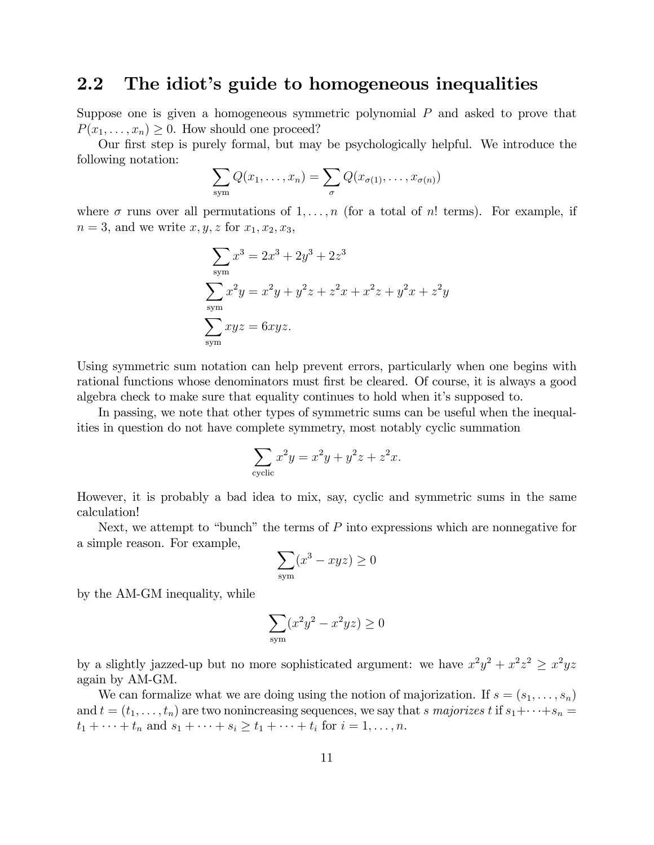## 2.2 The idiot's guide to homogeneous inequalities

Suppose one is given a homogeneous symmetric polynomial  $P$  and asked to prove that  $P(x_1, \ldots, x_n) \geq 0$ . How should one proceed?

Our first step is purely formal, but may be psychologically helpful. We introduce the following notation:

$$
\sum_{\text{sym}} Q(x_1, \dots, x_n) = \sum_{\sigma} Q(x_{\sigma(1)}, \dots, x_{\sigma(n)})
$$

where  $\sigma$  runs over all permutations of  $1, \ldots, n$  (for a total of n! terms). For example, if  $n = 3$ , and we write  $x, y, z$  for  $x_1, x_2, x_3$ ,

$$
\sum_{\text{sym}} x^3 = 2x^3 + 2y^3 + 2z^3
$$
  

$$
\sum_{\text{sym}} x^2 y = x^2 y + y^2 z + z^2 x + x^2 z + y^2 x + z^2 y
$$
  

$$
\sum_{\text{sym}} xyz = 6xyz.
$$

Using symmetric sum notation can help prevent errors, particularly when one begins with rational functions whose denominators must first be cleared. Of course, it is always a good algebra check to make sure that equality continues to hold when it's supposed to.

In passing, we note that other types of symmetric sums can be useful when the inequalities in question do not have complete symmetry, most notably cyclic summation

$$
\sum_{\text{cyclic}} x^2 y = x^2 y + y^2 z + z^2 x.
$$

However, it is probably a bad idea to mix, say, cyclic and symmetric sums in the same calculation!

Next, we attempt to "bunch" the terms of  $P$  into expressions which are nonnegative for a simple reason. For example,

$$
\sum_{\text{sym}} (x^3 - xyz) \ge 0
$$

by the AM-GM inequality, while

$$
\sum_{\text{sym}} (x^2 y^2 - x^2 yz) \ge 0
$$

by a slightly jazzed-up but no more sophisticated argument: we have  $x^2y^2 + x^2z^2 \ge x^2yz$ again by AM-GM.

We can formalize what we are doing using the notion of majorization. If  $s = (s_1, \ldots, s_n)$ and  $t = (t_1, \ldots, t_n)$  are two nonincreasing sequences, we say that s majorizes t if  $s_1 + \cdots + s_n =$  $t_1 + \cdots + t_n$  and  $s_1 + \cdots + s_i \ge t_1 + \cdots + t_i$  for  $i = 1, \ldots, n$ .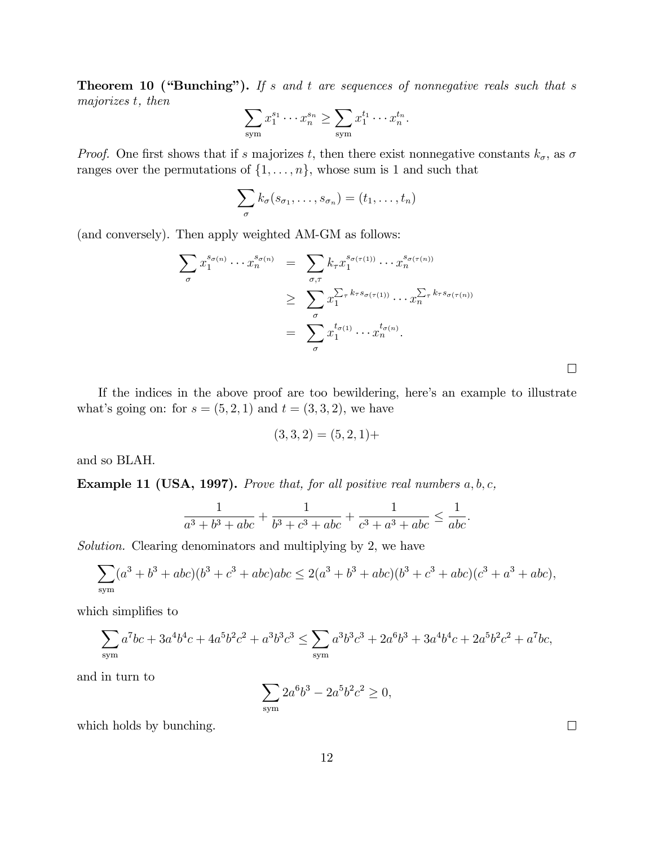**Theorem 10 ("Bunching").** If s and t are sequences of nonnegative reals such that s majorizes t, then

$$
\sum_{\text{sym}} x_1^{s_1} \cdots x_n^{s_n} \ge \sum_{\text{sym}} x_1^{t_1} \cdots x_n^{t_n}.
$$

*Proof.* One first shows that if s majorizes t, then there exist nonnegative constants  $k_{\sigma}$ , as  $\sigma$ ranges over the permutations of  $\{1, \ldots, n\}$ , whose sum is 1 and such that

$$
\sum_{\sigma} k_{\sigma}(s_{\sigma_1},\ldots,s_{\sigma_n})=(t_1,\ldots,t_n)
$$

(and conversely). Then apply weighted AM-GM as follows:

$$
\sum_{\sigma} x_1^{s_{\sigma(n)}} \cdots x_n^{s_{\sigma(n)}} = \sum_{\sigma,\tau} k_{\tau} x_1^{s_{\sigma(\tau(1))}} \cdots x_n^{s_{\sigma(\tau(n))}}
$$

$$
\geq \sum_{\sigma} x_1^{\sum_{\tau} k_{\tau} s_{\sigma(\tau(1))}} \cdots x_n^{\sum_{\tau} k_{\tau} s_{\sigma(\tau(n))}}
$$

$$
= \sum_{\sigma} x_1^{t_{\sigma(1)}} \cdots x_n^{t_{\sigma(n)}}.
$$

If the indices in the above proof are too bewildering, here's an example to illustrate what's going on: for  $s = (5, 2, 1)$  and  $t = (3, 3, 2)$ , we have

$$
(3,3,2) = (5,2,1) +
$$

and so BLAH.

**Example 11 (USA, 1997).** Prove that, for all positive real numbers  $a, b, c$ ,

$$
\frac{1}{a^3 + b^3 + abc} + \frac{1}{b^3 + c^3 + abc} + \frac{1}{c^3 + a^3 + abc} \le \frac{1}{abc}.
$$

Solution. Clearing denominators and multiplying by 2, we have

$$
\sum_{\text{sym}} (a^3 + b^3 + abc)(b^3 + c^3 + abc)abc \le 2(a^3 + b^3 + abc)(b^3 + c^3 + abc)(c^3 + a^3 + abc),
$$

which simplifies to

$$
\sum_{\text{sym}} a^7bc + 3a^4b^4c + 4a^5b^2c^2 + a^3b^3c^3 \le \sum_{\text{sym}} a^3b^3c^3 + 2a^6b^3 + 3a^4b^4c + 2a^5b^2c^2 + a^7bc,
$$

and in turn to

$$
\sum_{\text{sym}} 2a^6 b^3 - 2a^5 b^2 c^2 \ge 0,
$$

which holds by bunching.

12

 $\Box$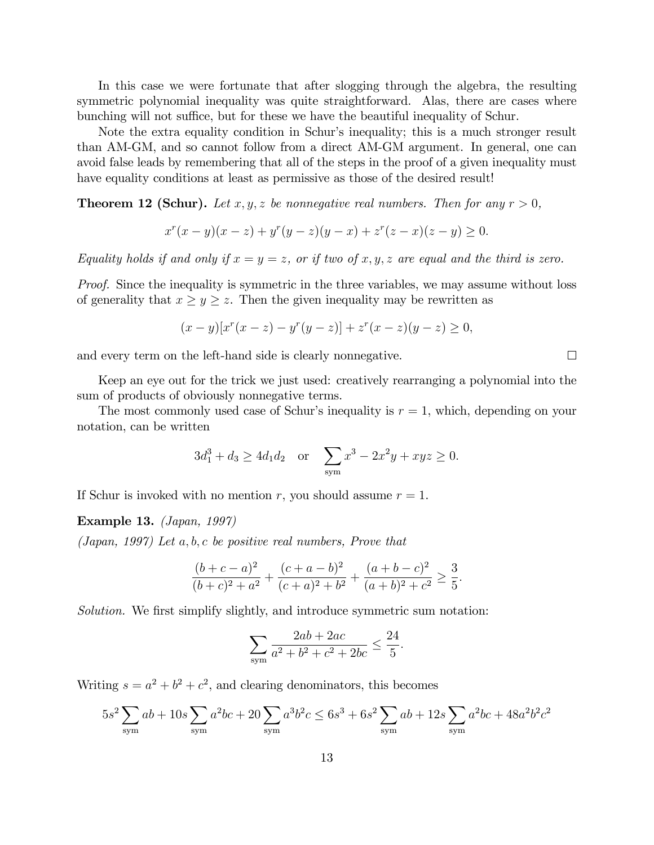In this case we were fortunate that after slogging through the algebra, the resulting symmetric polynomial inequality was quite straightforward. Alas, there are cases where bunching will not suffice, but for these we have the beautiful inequality of Schur.

Note the extra equality condition in Schur's inequality; this is a much stronger result than AM-GM, and so cannot follow from a direct AM-GM argument. In general, one can avoid false leads by remembering that all of the steps in the proof of a given inequality must have equality conditions at least as permissive as those of the desired result!

**Theorem 12 (Schur).** Let x, y, z be nonnegative real numbers. Then for any  $r > 0$ ,

$$
x^{r}(x - y)(x - z) + y^{r}(y - z)(y - x) + z^{r}(z - x)(z - y) \ge 0.
$$

Equality holds if and only if  $x = y = z$ , or if two of x, y, z are equal and the third is zero.

Proof. Since the inequality is symmetric in the three variables, we may assume without loss of generality that  $x \ge y \ge z$ . Then the given inequality may be rewritten as

$$
(x - y)[xr(x - z) - yr(y - z)] + zr(x - z)(y - z) \ge 0,
$$

and every term on the left-hand side is clearly nonnegative.

Keep an eye out for the trick we just used: creatively rearranging a polynomial into the sum of products of obviously nonnegative terms.

The most commonly used case of Schur's inequality is  $r = 1$ , which, depending on your notation, can be written

$$
3d_1^3 + d_3 \ge 4d_1d_2
$$
 or  $\sum_{sym} x^3 - 2x^2y + xyz \ge 0$ .

If Schur is invoked with no mention r, you should assume  $r = 1$ .

### Example 13. (Japan, 1997)

(Japan, 1997) Let  $a, b, c$  be positive real numbers, Prove that

$$
\frac{(b+c-a)^2}{(b+c)^2+a^2} + \frac{(c+a-b)^2}{(c+a)^2+b^2} + \frac{(a+b-c)^2}{(a+b)^2+c^2} \ge \frac{3}{5}.
$$

Solution. We first simplify slightly, and introduce symmetric sum notation:

$$
\sum_{\text{sym}} \frac{2ab + 2ac}{a^2 + b^2 + c^2 + 2bc} \le \frac{24}{5}.
$$

Writing  $s = a^2 + b^2 + c^2$ , and clearing denominators, this becomes

$$
5s^{2} \sum_{\text{sym}} ab + 10s \sum_{\text{sym}} a^{2}bc + 20 \sum_{\text{sym}} a^{3}b^{2}c \leq 6s^{3} + 6s^{2} \sum_{\text{sym}} ab + 12s \sum_{\text{sym}} a^{2}bc + 48a^{2}b^{2}c^{2}
$$

 $\Box$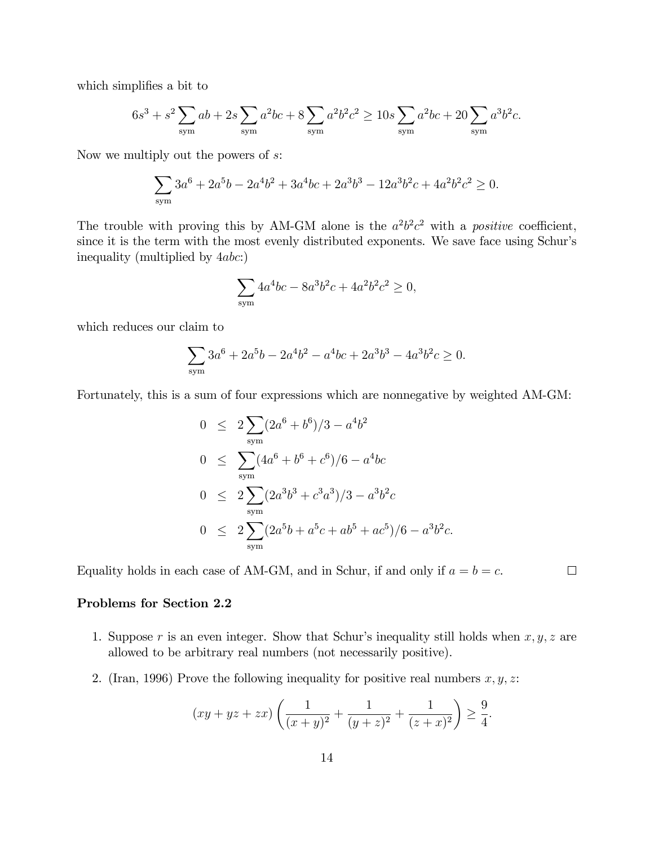which simplifies a bit to

$$
6s3 + s2 \sum_{\text{sym}} ab + 2s \sum_{\text{sym}} a2bc + 8 \sum_{\text{sym}} a2b2c2 \ge 10s \sum_{\text{sym}} a2bc + 20 \sum_{\text{sym}} a3b2c.
$$

Now we multiply out the powers of s:

$$
\sum_{\text{sym}} 3a^6 + 2a^5b - 2a^4b^2 + 3a^4bc + 2a^3b^3 - 12a^3b^2c + 4a^2b^2c^2 \ge 0.
$$

The trouble with proving this by AM-GM alone is the  $a^2b^2c^2$  with a *positive* coefficient, since it is the term with the most evenly distributed exponents. We save face using Schur's inequality (multiplied by 4abc:)

$$
\sum_{\text{sym}} 4a^4bc - 8a^3b^2c + 4a^2b^2c^2 \ge 0,
$$

which reduces our claim to

$$
\sum_{\text{sym}} 3a^6 + 2a^5b - 2a^4b^2 - a^4bc + 2a^3b^3 - 4a^3b^2c \ge 0.
$$

Fortunately, this is a sum of four expressions which are nonnegative by weighted AM-GM:

$$
0 \le 2 \sum_{\text{sym}} (2a^6 + b^6)/3 - a^4b^2
$$
  
\n
$$
0 \le \sum_{\text{sym}} (4a^6 + b^6 + c^6)/6 - a^4bc
$$
  
\n
$$
0 \le 2 \sum_{\text{sym}} (2a^3b^3 + c^3a^3)/3 - a^3b^2c
$$
  
\n
$$
0 \le 2 \sum_{\text{sym}} (2a^5b + a^5c + ab^5 + ac^5)/6 - a^3b^2c.
$$

Equality holds in each case of AM-GM, and in Schur, if and only if  $a = b = c$ .

 $\Box$ 

#### Problems for Section 2.2

- 1. Suppose r is an even integer. Show that Schur's inequality still holds when  $x, y, z$  are allowed to be arbitrary real numbers (not necessarily positive).
- 2. (Iran, 1996) Prove the following inequality for positive real numbers  $x, y, z$ :

$$
(xy + yz + zx) \left( \frac{1}{(x + y)^2} + \frac{1}{(y + z)^2} + \frac{1}{(z + x)^2} \right) \ge \frac{9}{4}.
$$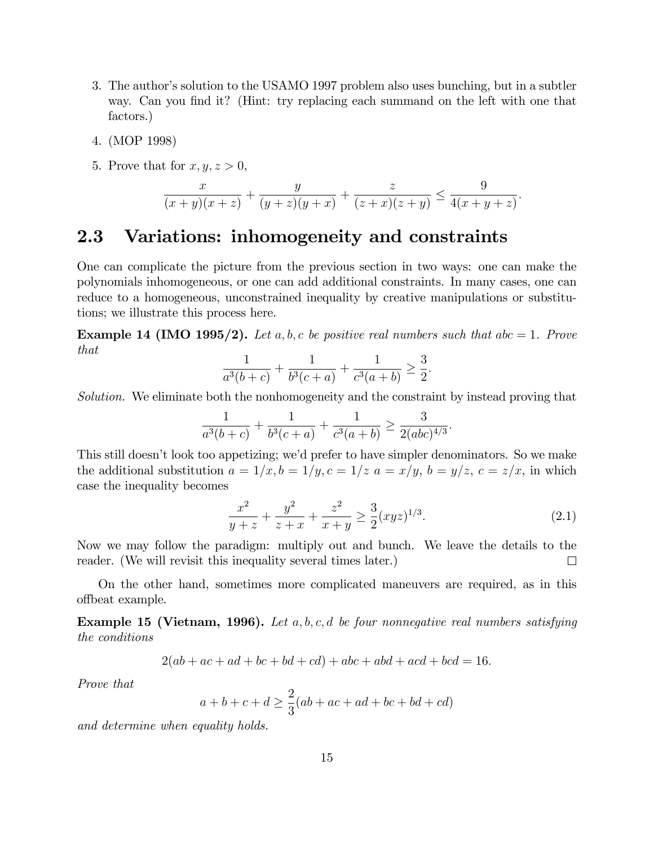- 3. The author's solution to the USAMO 1997 problem also uses bunching, but in a subtler way. Can you find it? (Hint: try replacing each summand on the left with one that factors.)
- 4. (MOP 1998)
- 5. Prove that for  $x, y, z > 0$ ,

$$
\frac{x}{(x+y)(x+z)} + \frac{y}{(y+z)(y+x)} + \frac{z}{(z+x)(z+y)} \le \frac{9}{4(x+y+z)}.
$$

## 2.3 Variations: inhomogeneity and constraints

One can complicate the picture from the previous section in two ways: one can make the polynomials inhomogeneous, or one can add additional constraints. In many cases, one can reduce to a homogeneous, unconstrained inequality by creative manipulations or substitutions; we illustrate this process here.

**Example 14 (IMO 1995/2).** Let a, b, c be positive real numbers such that abc = 1. Prove that

$$
\frac{1}{a^3(b+c)} + \frac{1}{b^3(c+a)} + \frac{1}{c^3(a+b)} \ge \frac{3}{2}.
$$

Solution. We eliminate both the nonhomogeneity and the constraint by instead proving that

$$
\frac{1}{a^3(b+c)} + \frac{1}{b^3(c+a)} + \frac{1}{c^3(a+b)} \ge \frac{3}{2(abc)^{4/3}}.
$$

This still doesn't look too appetizing; we'd prefer to have simpler denominators. So we make the additional substitution  $a = 1/x$ ,  $b = 1/y$ ,  $c = 1/z$ ,  $a = x/y$ ,  $b = y/z$ ,  $c = z/x$ , in which case the inequality becomes

$$
\frac{x^2}{y+z} + \frac{y^2}{z+x} + \frac{z^2}{x+y} \ge \frac{3}{2}(xyz)^{1/3}.
$$
 (2.1)

Now we may follow the paradigm: multiply out and bunch. We leave the details to the reader. (We will revisit this inequality several times later.)  $\Box$ 

On the other hand, sometimes more complicated maneuvers are required, as in this offbeat example.

**Example 15 (Vietnam, 1996).** Let  $a, b, c, d$  be four nonnegative real numbers satisfying the conditions

$$
2(ab + ac + ad + bc + bd + cd) + abc + abd + acd + bcd = 16.
$$

Prove that

$$
a + b + c + d \ge \frac{2}{3}(ab + ac + ad + bc + bd + cd)
$$

and determine when equality holds.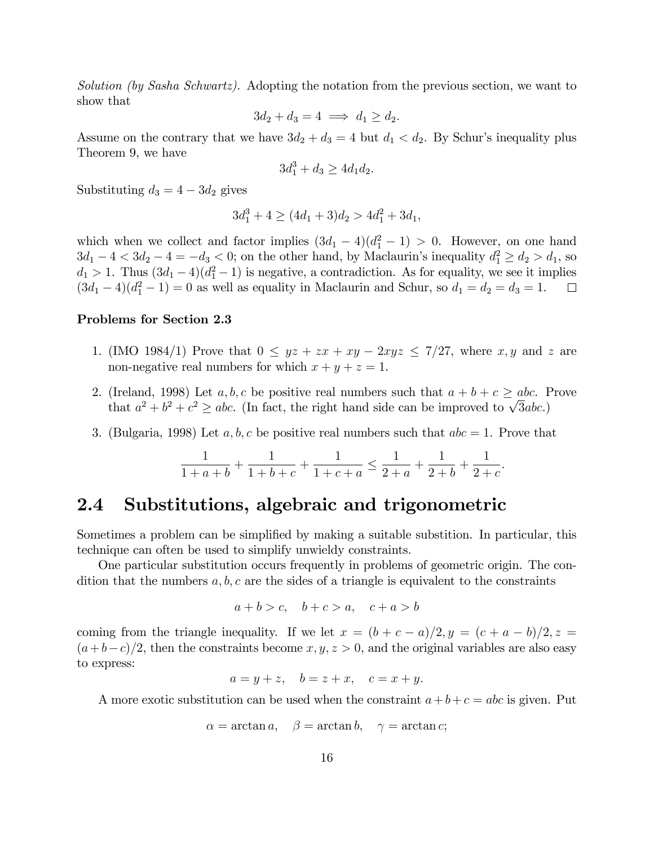Solution (by Sasha Schwartz). Adopting the notation from the previous section, we want to show that

$$
3d_2 + d_3 = 4 \implies d_1 \ge d_2.
$$

Assume on the contrary that we have  $3d_2 + d_3 = 4$  but  $d_1 < d_2$ . By Schur's inequality plus Theorem 9, we have

$$
3d_1^3 + d_3 \ge 4d_1d_2.
$$

Substituting  $d_3 = 4 - 3d_2$  gives

$$
3d_1^3 + 4 \ge (4d_1 + 3)d_2 > 4d_1^2 + 3d_1,
$$

which when we collect and factor implies  $(3d_1 - 4)(d_1^2 - 1) > 0$ . However, on one hand  $3d_1 - 4 < 3d_2 - 4 = -d_3 < 0$ ; on the other hand, by Maclaurin's inequality  $d_1^2 \ge d_2 > d_1$ , so  $d_1 > 1$ . Thus  $(3d_1 - 4)(d_1^2 - 1)$  is negative, a contradiction. As for equality, we see it implies  $(3d_1 - 4)(d_1^2 - 1) = 0$  as well as equality in Maclaurin and Schur, so  $d_1 = d_2 = d_3 = 1$ .

### Problems for Section 2.3

- 1. (IMO 1984/1) Prove that  $0 \leq yz + zx + xy 2xyz \leq 7/27$ , where x, y and z are non-negative real numbers for which  $x + y + z = 1$ .
- 2. (Ireland, 1998) Let a, b, c be positive real numbers such that  $a + b + c \ge abc$ . Prove that  $a^2 + b^2 + c^2 \ge abc$ . (In fact, the right hand side can be improved to  $\sqrt{3}abc$ .)
- 3. (Bulgaria, 1998) Let a, b, c be positive real numbers such that  $abc = 1$ . Prove that

$$
\frac{1}{1+a+b} + \frac{1}{1+b+c} + \frac{1}{1+c+a} \le \frac{1}{2+a} + \frac{1}{2+b} + \frac{1}{2+c}.
$$

## 2.4 Substitutions, algebraic and trigonometric

Sometimes a problem can be simplified by making a suitable substition. In particular, this technique can often be used to simplify unwieldy constraints.

One particular substitution occurs frequently in problems of geometric origin. The condition that the numbers  $a, b, c$  are the sides of a triangle is equivalent to the constraints

$$
a+b>c, \quad b+c>a, \quad c+a>b
$$

coming from the triangle inequality. If we let  $x = (b + c - a)/2, y = (c + a - b)/2, z =$  $(a+b-c)/2$ , then the constraints become  $x, y, z > 0$ , and the original variables are also easy to express:

$$
a = y + z, \quad b = z + x, \quad c = x + y.
$$

A more exotic substitution can be used when the constraint  $a+b+c = abc$  is given. Put

$$
\alpha = \arctan a, \quad \beta = \arctan b, \quad \gamma = \arctan c;
$$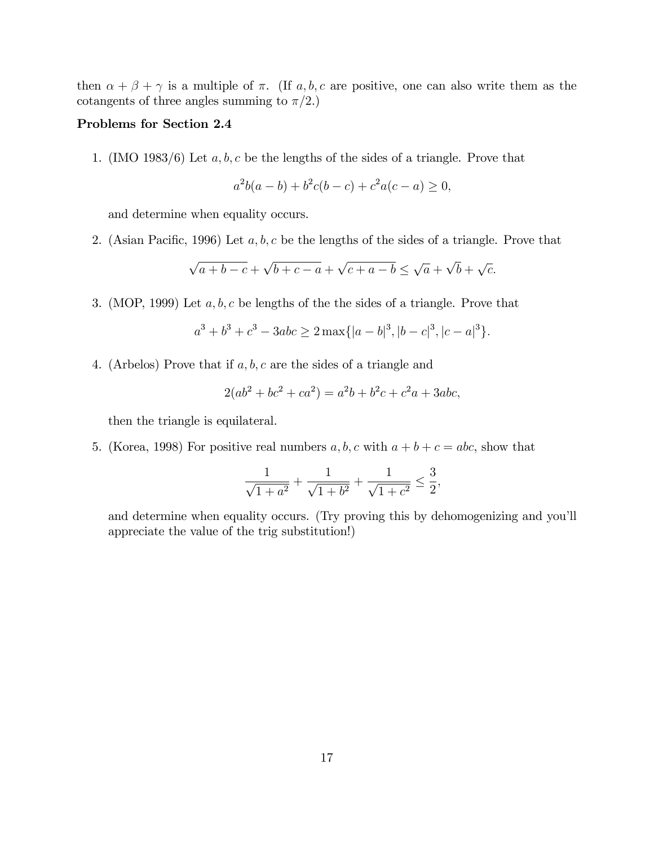then  $\alpha + \beta + \gamma$  is a multiple of  $\pi$ . (If a, b, c are positive, one can also write them as the cotangents of three angles summing to  $\pi/2$ .)

### Problems for Section 2.4

1. (IMO 1983/6) Let  $a, b, c$  be the lengths of the sides of a triangle. Prove that

$$
a^{2}b(a - b) + b^{2}c(b - c) + c^{2}a(c - a) \ge 0,
$$

and determine when equality occurs.

2. (Asian Pacific, 1996) Let  $a, b, c$  be the lengths of the sides of a triangle. Prove that

$$
\sqrt{a+b-c} + \sqrt{b+c-a} + \sqrt{c+a-b} \le \sqrt{a} + \sqrt{b} + \sqrt{c}.
$$

3. (MOP, 1999) Let  $a, b, c$  be lengths of the the sides of a triangle. Prove that

$$
a^3 + b^3 + c^3 - 3abc \ge 2 \max\{|a - b|^3, |b - c|^3, |c - a|^3\}.
$$

4. (Arbelos) Prove that if  $a, b, c$  are the sides of a triangle and

$$
2(ab^2 + bc^2 + ca^2) = a^2b + b^2c + c^2a + 3abc,
$$

then the triangle is equilateral.

5. (Korea, 1998) For positive real numbers  $a, b, c$  with  $a + b + c = abc$ , show that

$$
\frac{1}{\sqrt{1+a^2}} + \frac{1}{\sqrt{1+b^2}} + \frac{1}{\sqrt{1+c^2}} \le \frac{3}{2},
$$

and determine when equality occurs. (Try proving this by dehomogenizing and you'll appreciate the value of the trig substitution!)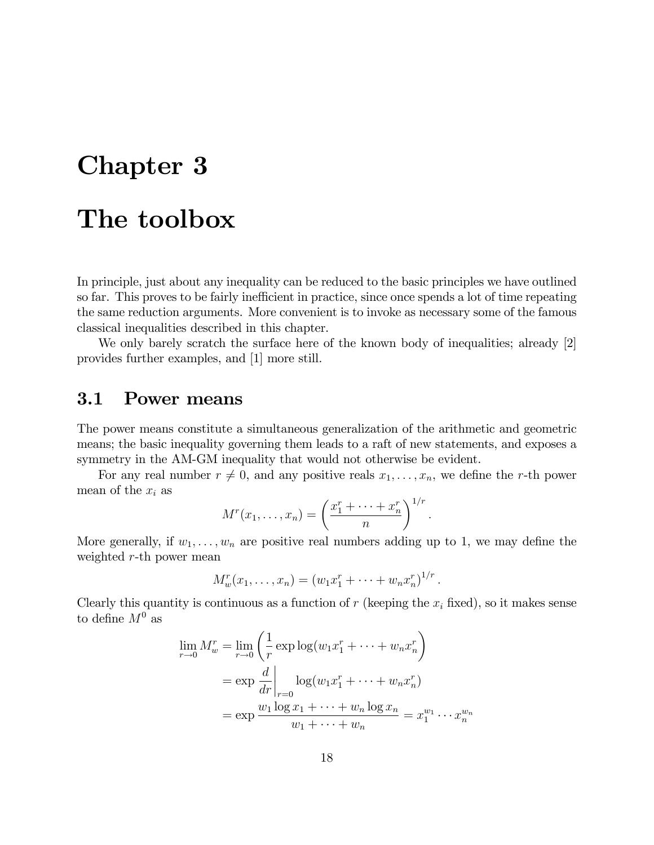# Chapter 3

# The toolbox

In principle, just about any inequality can be reduced to the basic principles we have outlined so far. This proves to be fairly inefficient in practice, since once spends a lot of time repeating the same reduction arguments. More convenient is to invoke as necessary some of the famous classical inequalities described in this chapter.

We only barely scratch the surface here of the known body of inequalities; already [2] provides further examples, and [1] more still.

## 3.1 Power means

The power means constitute a simultaneous generalization of the arithmetic and geometric means; the basic inequality governing them leads to a raft of new statements, and exposes a symmetry in the AM-GM inequality that would not otherwise be evident.

For any real number  $r \neq 0$ , and any positive reals  $x_1, \ldots, x_n$ , we define the r-th power mean of the  $x_i$  as

$$
M^{r}(x_1,\ldots,x_n)=\left(\frac{x_1^{r}+\cdots+x_n^{r}}{n}\right)^{1/r}.
$$

More generally, if  $w_1, \ldots, w_n$  are positive real numbers adding up to 1, we may define the weighted r-th power mean

$$
M_w^r(x_1,\ldots,x_n)=(w_1x_1^r+\cdots+w_nx_n^r)^{1/r}.
$$

Clearly this quantity is continuous as a function of  $r$  (keeping the  $x_i$  fixed), so it makes sense to define  $M^0$  as

$$
\lim_{r \to 0} M_w^r = \lim_{r \to 0} \left( \frac{1}{r} \exp \log(w_1 x_1^r + \dots + w_n x_n^r) \right)
$$

$$
= \exp \left. \frac{d}{dr} \right|_{r=0} \log(w_1 x_1^r + \dots + w_n x_n^r)
$$

$$
= \exp \frac{w_1 \log x_1 + \dots + w_n \log x_n}{w_1 + \dots + w_n} = x_1^{w_1} \dots x_n^{w_n}
$$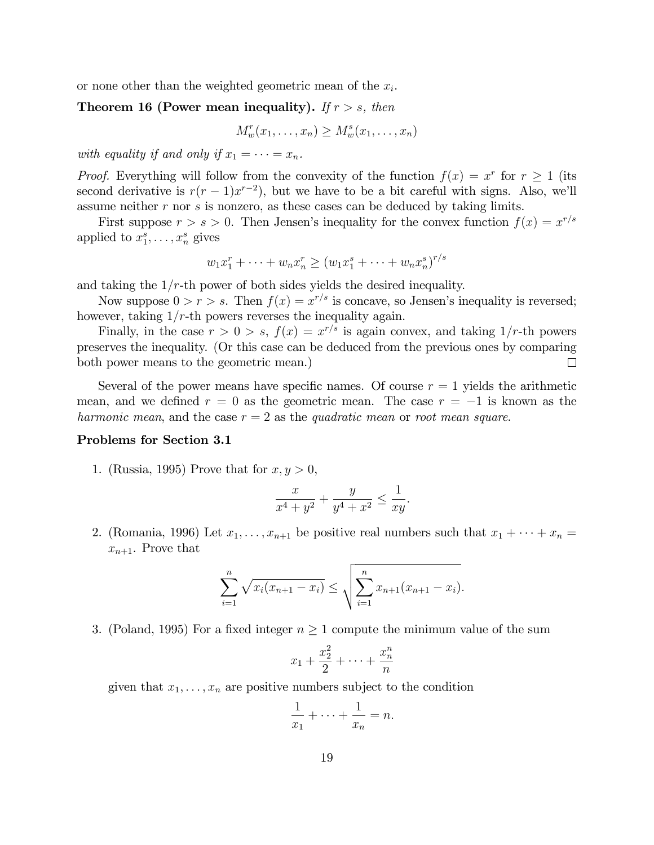or none other than the weighted geometric mean of the  $x_i$ .

### Theorem 16 (Power mean inequality). If  $r > s$ , then

$$
M_w^r(x_1,\ldots,x_n)\geq M_w^s(x_1,\ldots,x_n)
$$

with equality if and only if  $x_1 = \cdots = x_n$ .

*Proof.* Everything will follow from the convexity of the function  $f(x) = x^r$  for  $r \ge 1$  (its second derivative is  $r(r-1)x^{r-2}$ , but we have to be a bit careful with signs. Also, we'll assume neither  $r$  nor  $s$  is nonzero, as these cases can be deduced by taking limits.

First suppose  $r > s > 0$ . Then Jensen's inequality for the convex function  $f(x) = x^{r/s}$ applied to  $x_1^s, \ldots, x_n^s$  gives

$$
w_1 x_1^r + \dots + w_n x_n^r \ge (w_1 x_1^s + \dots + w_n x_n^s)^{r/s}
$$

and taking the  $1/r$ -th power of both sides yields the desired inequality.

Now suppose  $0 > r > s$ . Then  $f(x) = x^{r/s}$  is concave, so Jensen's inequality is reversed; however, taking  $1/r$ -th powers reverses the inequality again.

Finally, in the case  $r > 0 > s$ ,  $f(x) = x^{r/s}$  is again convex, and taking  $1/r$ -th powers preserves the inequality. (Or this case can be deduced from the previous ones by comparing both power means to the geometric mean.)  $\Box$ 

Several of the power means have specific names. Of course  $r = 1$  yields the arithmetic mean, and we defined  $r = 0$  as the geometric mean. The case  $r = -1$  is known as the harmonic mean, and the case  $r = 2$  as the quadratic mean or root mean square.

### Problems for Section 3.1

1. (Russia, 1995) Prove that for  $x, y > 0$ ,

$$
\frac{x}{x^4 + y^2} + \frac{y}{y^4 + x^2} \le \frac{1}{xy}.
$$

2. (Romania, 1996) Let  $x_1, \ldots, x_{n+1}$  be positive real numbers such that  $x_1 + \cdots + x_n =$  $x_{n+1}$ . Prove that

$$
\sum_{i=1}^{n} \sqrt{x_i (x_{n+1} - x_i)} \le \sqrt{\sum_{i=1}^{n} x_{n+1} (x_{n+1} - x_i)}.
$$

3. (Poland, 1995) For a fixed integer  $n \geq 1$  compute the minimum value of the sum

$$
x_1 + \frac{x_2^2}{2} + \dots + \frac{x_n^n}{n}
$$

given that  $x_1, \ldots, x_n$  are positive numbers subject to the condition

$$
\frac{1}{x_1} + \dots + \frac{1}{x_n} = n.
$$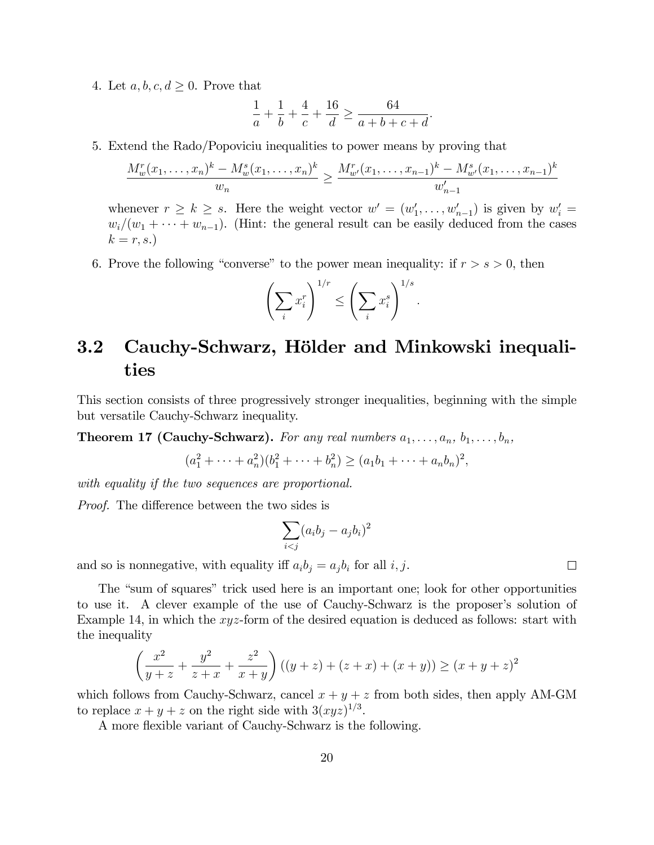4. Let  $a, b, c, d \geq 0$ . Prove that

$$
\frac{1}{a} + \frac{1}{b} + \frac{4}{c} + \frac{16}{d} \ge \frac{64}{a + b + c + d}.
$$

5. Extend the Rado/Popoviciu inequalities to power means by proving that

$$
\frac{M_w^r(x_1,\ldots,x_n)^k - M_w^s(x_1,\ldots,x_n)^k}{w_n} \ge \frac{M_{w'}^r(x_1,\ldots,x_{n-1})^k - M_{w'}^s(x_1,\ldots,x_{n-1})^k}{w'_{n-1}}
$$

whenever  $r \geq k \geq s$ . Here the weight vector  $w' = (w'_1, \ldots, w'_{n-1})$  is given by  $w'_i =$  $w_i/(w_1 + \cdots + w_{n-1})$ . (Hint: the general result can be easily deduced from the cases  $k=r, s.$ 

6. Prove the following "converse" to the power mean inequality: if  $r > s > 0$ , then

$$
\left(\sum_{i} x_i^r\right)^{1/r} \le \left(\sum_{i} x_i^s\right)^{1/s}.
$$

## 3.2 Cauchy-Schwarz, Hölder and Minkowski inequalities

This section consists of three progressively stronger inequalities, beginning with the simple but versatile Cauchy-Schwarz inequality.

**Theorem 17 (Cauchy-Schwarz).** For any real numbers  $a_1, \ldots, a_n, b_1, \ldots, b_n$ ,

$$
(a_1^2 + \dots + a_n^2)(b_1^2 + \dots + b_n^2) \ge (a_1b_1 + \dots + a_nb_n)^2,
$$

with equality if the two sequences are proportional.

*Proof.* The difference between the two sides is

$$
\sum_{i
$$

and so is nonnegative, with equality iff  $a_i b_j = a_j b_i$  for all i, j.

The "sum of squares" trick used here is an important one; look for other opportunities to use it. A clever example of the use of Cauchy-Schwarz is the proposer's solution of Example 14, in which the  $xyz$ -form of the desired equation is deduced as follows: start with the inequality

$$
\left(\frac{x^2}{y+z} + \frac{y^2}{z+x} + \frac{z^2}{x+y}\right) \left( (y+z) + (z+x) + (x+y) \right) \ge (x+y+z)^2
$$

which follows from Cauchy-Schwarz, cancel  $x + y + z$  from both sides, then apply AM-GM to replace  $x + y + z$  on the right side with  $3(xyz)^{1/3}$ .

A more flexible variant of Cauchy-Schwarz is the following.

 $\Box$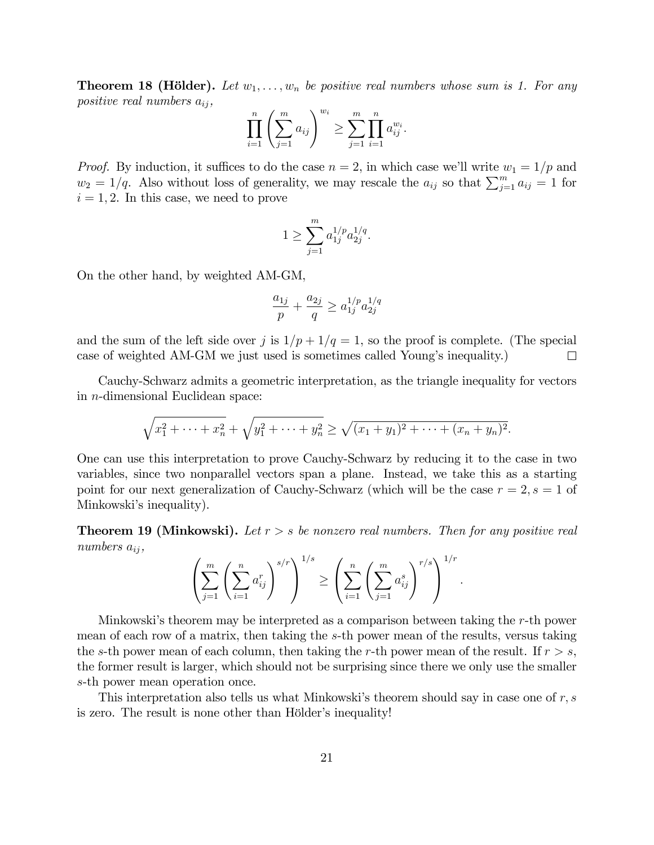**Theorem 18 (Hölder).** Let  $w_1, \ldots, w_n$  be positive real numbers whose sum is 1. For any positive real numbers  $a_{ij}$ ,

$$
\prod_{i=1}^{n} \left( \sum_{j=1}^{m} a_{ij} \right)^{w_i} \ge \sum_{j=1}^{m} \prod_{i=1}^{n} a_{ij}^{w_i}.
$$

*Proof.* By induction, it suffices to do the case  $n = 2$ , in which case we'll write  $w_1 = 1/p$  and  $w_2 = 1/q$ . Also without loss of generality, we may rescale the  $a_{ij}$  so that  $\sum_{j=1}^{m} a_{ij} = 1$  for  $i = 1, 2$ . In this case, we need to prove

$$
1 \ge \sum_{j=1}^m a_{1j}^{1/p} a_{2j}^{1/q}.
$$

On the other hand, by weighted AM-GM,

$$
\frac{a_{1j}}{p} + \frac{a_{2j}}{q} \ge a_{1j}^{1/p} a_{2j}^{1/q}
$$

and the sum of the left side over j is  $1/p + 1/q = 1$ , so the proof is complete. (The special case of weighted AM-GM we just used is sometimes called Young's inequality.)  $\Box$ 

Cauchy-Schwarz admits a geometric interpretation, as the triangle inequality for vectors in n-dimensional Euclidean space:

$$
\sqrt{x_1^2 + \dots + x_n^2} + \sqrt{y_1^2 + \dots + y_n^2} \ge \sqrt{(x_1 + y_1)^2 + \dots + (x_n + y_n)^2}.
$$

One can use this interpretation to prove Cauchy-Schwarz by reducing it to the case in two variables, since two nonparallel vectors span a plane. Instead, we take this as a starting point for our next generalization of Cauchy-Schwarz (which will be the case  $r = 2$ ,  $s = 1$  of Minkowski's inequality).

**Theorem 19 (Minkowski).** Let  $r > s$  be nonzero real numbers. Then for any positive real numbers  $a_{ij}$ ,

$$
\left(\sum_{j=1}^m \left(\sum_{i=1}^n a_{ij}^r\right)^{s/r}\right)^{1/s} \ge \left(\sum_{i=1}^n \left(\sum_{j=1}^m a_{ij}^s\right)^{r/s}\right)^{1/r}.
$$

Minkowskiís theorem may be interpreted as a comparison between taking the r-th power mean of each row of a matrix, then taking the s-th power mean of the results, versus taking the s-th power mean of each column, then taking the r-th power mean of the result. If  $r > s$ , the former result is larger, which should not be surprising since there we only use the smaller s-th power mean operation once.

This interpretation also tells us what Minkowski's theorem should say in case one of  $r, s$ is zero. The result is none other than Hölder's inequality!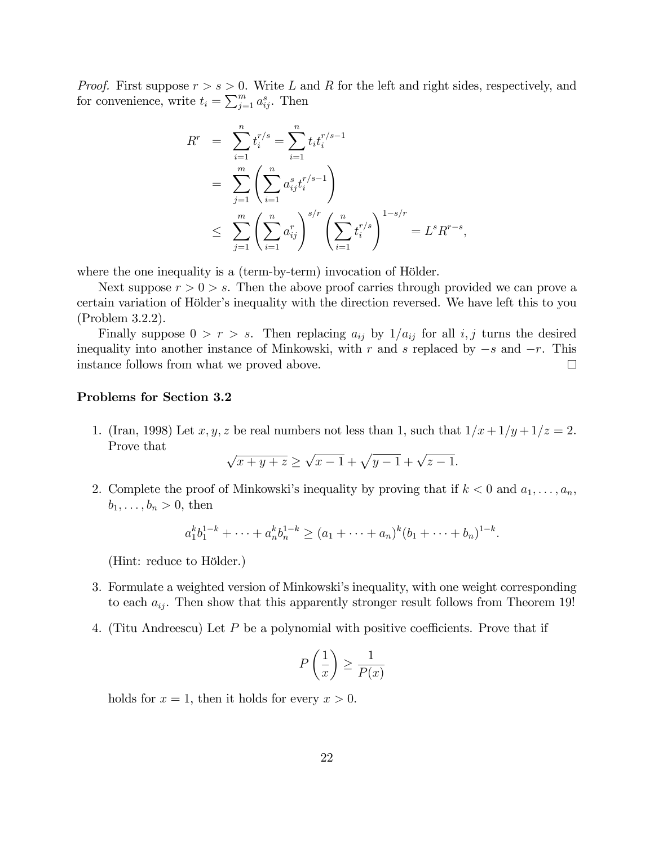*Proof.* First suppose  $r > s > 0$ . Write L and R for the left and right sides, respectively, and for convenience, write  $t_i = \sum_{j=1}^m a_{ij}^s$ . Then

$$
R^{r} = \sum_{i=1}^{n} t_{i}^{r/s} = \sum_{i=1}^{n} t_{i} t_{i}^{r/s-1}
$$
  
= 
$$
\sum_{j=1}^{m} \left( \sum_{i=1}^{n} a_{ij}^{s} t_{i}^{r/s-1} \right)
$$
  

$$
\leq \sum_{j=1}^{m} \left( \sum_{i=1}^{n} a_{ij}^{r} \right)^{s/r} \left( \sum_{i=1}^{n} t_{i}^{r/s} \right)^{1-s/r} = L^{s} R^{r-s},
$$

where the one inequality is a  $(\text{term-by-term})$  invocation of Hölder.

Next suppose  $r > 0 > s$ . Then the above proof carries through provided we can prove a certain variation of Hölder's inequality with the direction reversed. We have left this to you (Problem 3.2.2).

Finally suppose  $0 > r > s$ . Then replacing  $a_{ij}$  by  $1/a_{ij}$  for all  $i, j$  turns the desired inequality into another instance of Minkowski, with r and s replaced by  $-s$  and  $-r$ . This instance follows from what we proved above. instance follows from what we proved above.

### Problems for Section 3.2

1. (Iran, 1998) Let x, y, z be real numbers not less than 1, such that  $1/x + 1/y + 1/z = 2$ . Prove that

$$
\sqrt{x+y+z} \ge \sqrt{x-1} + \sqrt{y-1} + \sqrt{z-1}.
$$

2. Complete the proof of Minkowski's inequality by proving that if  $k < 0$  and  $a_1, \ldots, a_n$ ,  $b_1, \ldots, b_n > 0$ , then

$$
a_1^k b_1^{1-k} + \cdots + a_n^k b_n^{1-k} \ge (a_1 + \cdots + a_n)^k (b_1 + \cdots + b_n)^{1-k}.
$$

(Hint: reduce to Hölder.)

- 3. Formulate a weighted version of Minkowski's inequality, with one weight corresponding to each  $a_{ij}$ . Then show that this apparently stronger result follows from Theorem 19!
- 4. (Titu Andreescu) Let  $P$  be a polynomial with positive coefficients. Prove that if

$$
P\left(\frac{1}{x}\right) \ge \frac{1}{P(x)}
$$

holds for  $x = 1$ , then it holds for every  $x > 0$ .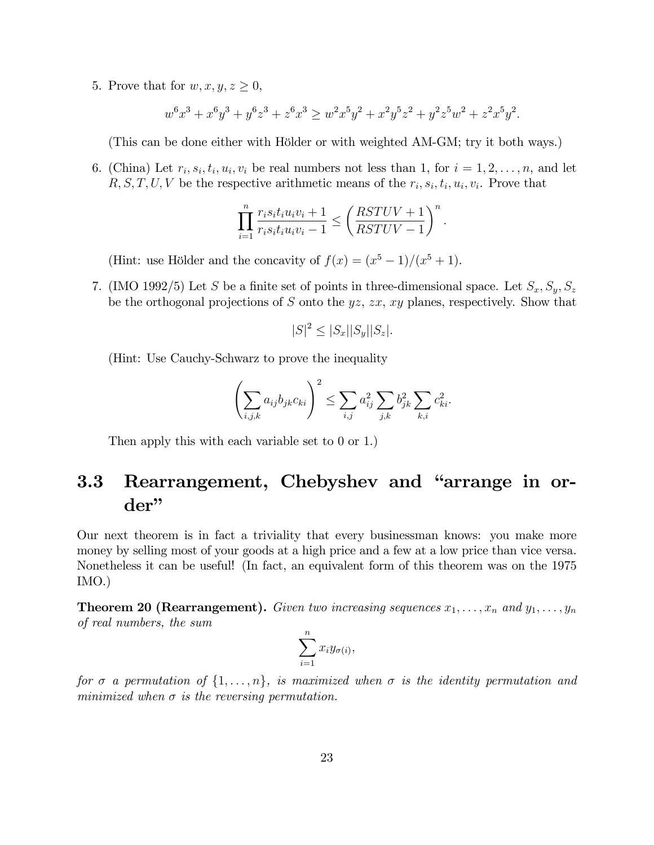5. Prove that for  $w, x, y, z \geq 0$ ,

 $w^{6}x^{3} + x^{6}y^{3} + y^{6}z^{3} + z^{6}x^{3} \geq w^{2}x^{5}y^{2} + x^{2}y^{5}z^{2} + y^{2}z^{5}w^{2} + z^{2}x^{5}y^{2}.$ 

(This can be done either with Hölder or with weighted AM-GM; try it both ways.)

6. (China) Let  $r_i, s_i, t_i, u_i, v_i$  be real numbers not less than 1, for  $i = 1, 2, \ldots, n$ , and let  $R, S, T, U, V$  be the respective arithmetic means of the  $r_i, s_i, t_i, u_i, v_i$ . Prove that

$$
\prod_{i=1}^n \frac{r_i s_i t_i u_i v_i + 1}{r_i s_i t_i u_i v_i - 1} \leq \left(\frac{RSTUV + 1}{RSTUV - 1}\right)^n.
$$

(Hint: use Hölder and the concavity of  $f(x) = (x^5 - 1)/(x^5 + 1)$ .

7. (IMO 1992/5) Let S be a finite set of points in three-dimensional space. Let  $S_x, S_y, S_z$ be the orthogonal projections of S onto the  $yz$ ,  $zx$ ,  $xy$  planes, respectively. Show that

$$
|S|^2 \leq |S_x||S_y||S_z|.
$$

(Hint: Use Cauchy-Schwarz to prove the inequality

$$
\left(\sum_{i,j,k} a_{ij} b_{jk} c_{ki}\right)^2 \le \sum_{i,j} a_{ij}^2 \sum_{j,k} b_{jk}^2 \sum_{k,i} c_{ki}^2.
$$

Then apply this with each variable set to 0 or 1.)

## 3.3 Rearrangement, Chebyshev and "arrange in order"

Our next theorem is in fact a triviality that every businessman knows: you make more money by selling most of your goods at a high price and a few at a low price than vice versa. Nonetheless it can be useful! (In fact, an equivalent form of this theorem was on the 1975 IMO.)

**Theorem 20 (Rearrangement).** Given two increasing sequences  $x_1, \ldots, x_n$  and  $y_1, \ldots, y_n$ of real numbers, the sum

$$
\sum_{i=1}^n x_i y_{\sigma(i)},
$$

for  $\sigma$  a permutation of  $\{1,\ldots,n\}$ , is maximized when  $\sigma$  is the identity permutation and minimized when  $\sigma$  is the reversing permutation.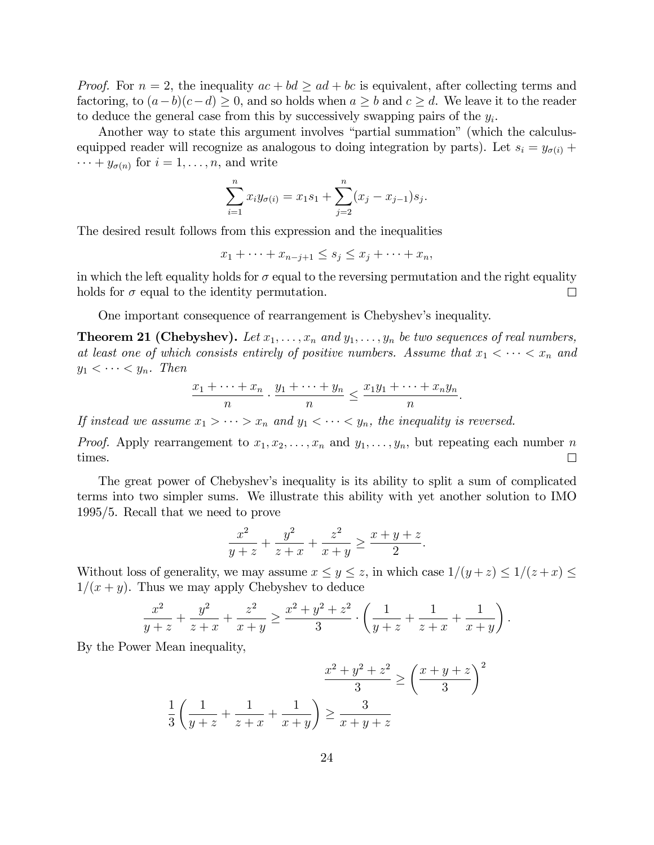*Proof.* For  $n = 2$ , the inequality  $ac + bd \ge ad + bc$  is equivalent, after collecting terms and factoring, to  $(a-b)(c-d) \geq 0$ , and so holds when  $a \geq b$  and  $c \geq d$ . We leave it to the reader to deduce the general case from this by successively swapping pairs of the  $y_i$ .

Another way to state this argument involves "partial summation" (which the calculusequipped reader will recognize as analogous to doing integration by parts). Let  $s_i = y_{\sigma(i)} +$  $\cdots + y_{\sigma(n)}$  for  $i = 1, \ldots, n$ , and write

$$
\sum_{i=1}^{n} x_i y_{\sigma(i)} = x_1 s_1 + \sum_{j=2}^{n} (x_j - x_{j-1}) s_j.
$$

The desired result follows from this expression and the inequalities

$$
x_1 + \dots + x_{n-j+1} \le s_j \le x_j + \dots + x_n,
$$

in which the left equality holds for  $\sigma$  equal to the reversing permutation and the right equality holds for  $\sigma$  equal to the identity permutation.  $\Box$ 

One important consequence of rearrangement is Chebyshev's inequality.

**Theorem 21 (Chebyshev).** Let  $x_1, \ldots, x_n$  and  $y_1, \ldots, y_n$  be two sequences of real numbers, at least one of which consists entirely of positive numbers. Assume that  $x_1 < \cdots < x_n$  and  $y_1 < \cdots < y_n$ . Then

$$
\frac{x_1 + \dots + x_n}{n} \cdot \frac{y_1 + \dots + y_n}{n} \le \frac{x_1 y_1 + \dots + x_n y_n}{n}.
$$

If instead we assume  $x_1 > \cdots > x_n$  and  $y_1 < \cdots < y_n$ , the inequality is reversed.

*Proof.* Apply rearrangement to  $x_1, x_2, \ldots, x_n$  and  $y_1, \ldots, y_n$ , but repeating each number n times.  $\Box$ 

The great power of Chebyshev's inequality is its ability to split a sum of complicated terms into two simpler sums. We illustrate this ability with yet another solution to IMO 1995/5. Recall that we need to prove

$$
\frac{x^2}{y+z} + \frac{y^2}{z+x} + \frac{z^2}{x+y} \ge \frac{x+y+z}{2}.
$$

Without loss of generality, we may assume  $x \le y \le z$ , in which case  $1/(y + z) \le 1/(z + x) \le$  $1/(x + y)$ . Thus we may apply Chebyshev to deduce

$$
\frac{x^2}{y+z} + \frac{y^2}{z+x} + \frac{z^2}{x+y} \ge \frac{x^2 + y^2 + z^2}{3} \cdot \left(\frac{1}{y+z} + \frac{1}{z+x} + \frac{1}{x+y}\right).
$$

By the Power Mean inequality,

$$
\frac{x^2 + y^2 + z^2}{3} \ge \left(\frac{x+y+z}{3}\right)^2
$$

$$
\frac{1}{3}\left(\frac{1}{y+z} + \frac{1}{z+x} + \frac{1}{x+y}\right) \ge \frac{3}{x+y+z}
$$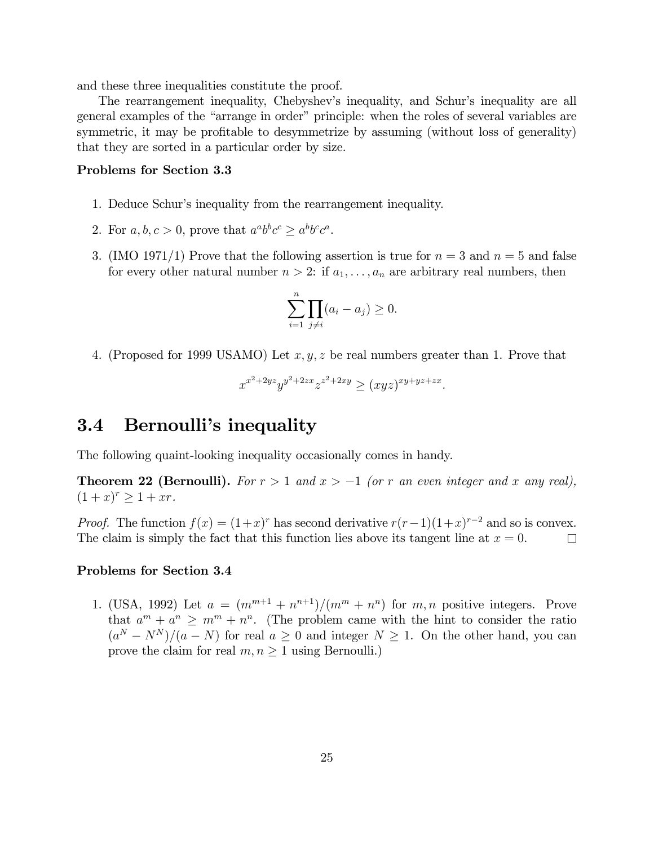and these three inequalities constitute the proof.

The rearrangement inequality, Chebyshev's inequality, and Schur's inequality are all general examples of the "arrange in order" principle: when the roles of several variables are symmetric, it may be profitable to desymmetrize by assuming (without loss of generality) that they are sorted in a particular order by size.

### Problems for Section 3.3

- 1. Deduce Schur's inequality from the rearrangement inequality.
- 2. For  $a, b, c > 0$ , prove that  $a^a b^b c^c \ge a^b b^c c^a$ .
- 3. (IMO 1971/1) Prove that the following assertion is true for  $n = 3$  and  $n = 5$  and false for every other natural number  $n > 2$ : if  $a_1, \ldots, a_n$  are arbitrary real numbers, then

$$
\sum_{i=1}^{n} \prod_{j \neq i} (a_i - a_j) \geq 0.
$$

4. (Proposed for 1999 USAMO) Let  $x, y, z$  be real numbers greater than 1. Prove that

$$
x^{x^2+2yz}y^{y^2+2zx}z^{z^2+2xy} \ge (xyz)^{xy+yz+zx}.
$$

## 3.4 Bernoulli's inequality

The following quaint-looking inequality occasionally comes in handy.

**Theorem 22 (Bernoulli).** For  $r > 1$  and  $x > -1$  (or r an even integer and x any real),  $(1+x)^r \ge 1 + xr.$ 

*Proof.* The function  $f(x) = (1+x)^r$  has second derivative  $r(r-1)(1+x)^{r-2}$  and so is convex. The claim is simply the fact that this function lies above its tangent line at  $x = 0$ .  $\Box$ 

### Problems for Section 3.4

1. (USA, 1992) Let  $a = \frac{m^{m+1} + n^{n+1}}{m^m + n^n}$  for  $m, n$  positive integers. Prove that  $a^m + a^n \geq m^m + n^n$ . (The problem came with the hint to consider the ratio  $(a^N - N^N)/(a - N)$  for real  $a \geq 0$  and integer  $N \geq 1$ . On the other hand, you can prove the claim for real  $m, n \geq 1$  using Bernoulli.)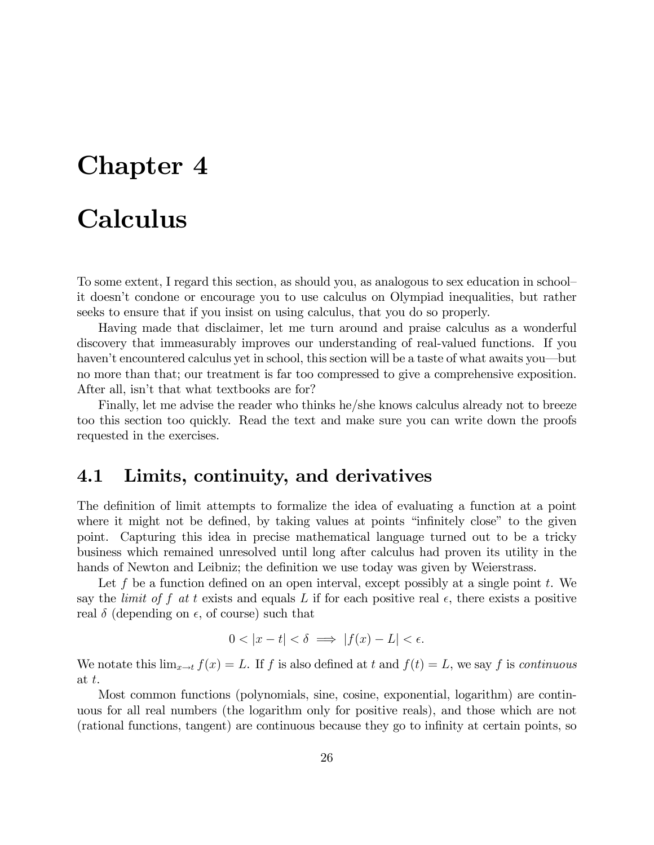# Chapter 4

# Calculus

To some extent, I regard this section, as should you, as analogous to sex education in school it doesnít condone or encourage you to use calculus on Olympiad inequalities, but rather seeks to ensure that if you insist on using calculus, that you do so properly.

Having made that disclaimer, let me turn around and praise calculus as a wonderful discovery that immeasurably improves our understanding of real-valued functions. If you haven't encountered calculus yet in school, this section will be a taste of what awaits you—but no more than that; our treatment is far too compressed to give a comprehensive exposition. After all, isn't that what textbooks are for?

Finally, let me advise the reader who thinks he/she knows calculus already not to breeze too this section too quickly. Read the text and make sure you can write down the proofs requested in the exercises.

## 4.1 Limits, continuity, and derivatives

The definition of limit attempts to formalize the idea of evaluating a function at a point where it might not be defined, by taking values at points "infinitely close" to the given point. Capturing this idea in precise mathematical language turned out to be a tricky business which remained unresolved until long after calculus had proven its utility in the hands of Newton and Leibniz; the definition we use today was given by Weierstrass.

Let f be a function defined on an open interval, except possibly at a single point  $t$ . We say the *limit of f at t* exists and equals L if for each positive real  $\epsilon$ , there exists a positive real  $\delta$  (depending on  $\epsilon$ , of course) such that

$$
0 < |x - t| < \delta \implies |f(x) - L| < \epsilon.
$$

We notate this  $\lim_{x\to t} f(x) = L$ . If f is also defined at t and  $f(t) = L$ , we say f is continuous at t.

Most common functions (polynomials, sine, cosine, exponential, logarithm) are continuous for all real numbers (the logarithm only for positive reals), and those which are not (rational functions, tangent) are continuous because they go to infinity at certain points, so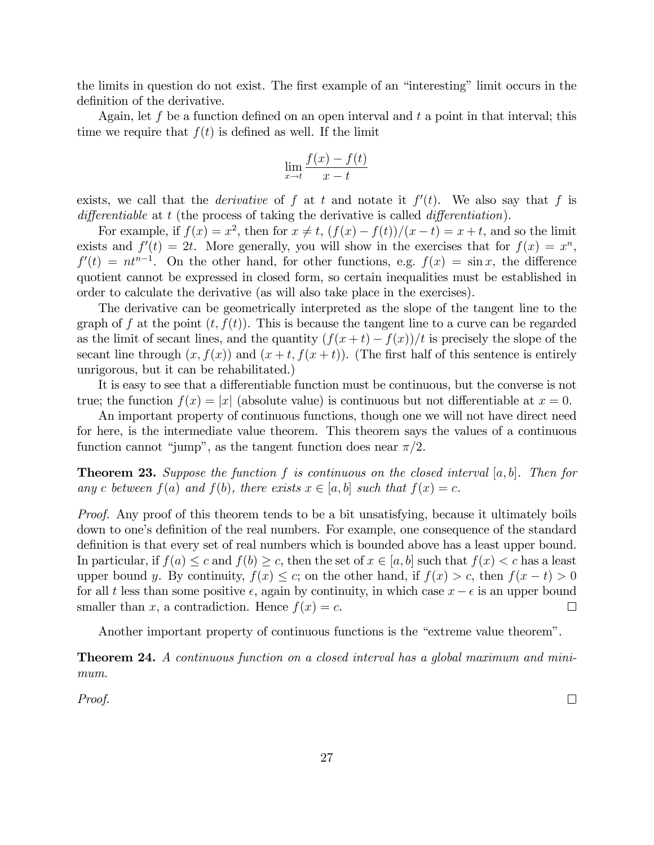the limits in question do not exist. The first example of an "interesting" limit occurs in the definition of the derivative.

Again, let  $f$  be a function defined on an open interval and  $t$  a point in that interval; this time we require that  $f(t)$  is defined as well. If the limit

$$
\lim_{x \to t} \frac{f(x) - f(t)}{x - t}
$$

exists, we call that the *derivative* of f at t and notate it  $f'(t)$ . We also say that f is differentiable at t (the process of taking the derivative is called differentiation).

For example, if  $f(x) = x^2$ , then for  $x \neq t$ ,  $(f(x) - f(t))/(x - t) = x + t$ , and so the limit exists and  $f'(t) = 2t$ . More generally, you will show in the exercises that for  $f(x) = x^n$ ,  $f'(t) = nt^{n-1}$ . On the other hand, for other functions, e.g.  $f(x) = \sin x$ , the difference quotient cannot be expressed in closed form, so certain inequalities must be established in order to calculate the derivative (as will also take place in the exercises).

The derivative can be geometrically interpreted as the slope of the tangent line to the graph of f at the point  $(t, f(t))$ . This is because the tangent line to a curve can be regarded as the limit of secant lines, and the quantity  $(f(x + t) - f(x))/t$  is precisely the slope of the secant line through  $(x, f(x))$  and  $(x + t, f(x + t))$ . (The first half of this sentence is entirely unrigorous, but it can be rehabilitated.)

It is easy to see that a differentiable function must be continuous, but the converse is not true; the function  $f(x) = |x|$  (absolute value) is continuous but not differentiable at  $x = 0$ .

An important property of continuous functions, though one we will not have direct need for here, is the intermediate value theorem. This theorem says the values of a continuous function cannot "jump", as the tangent function does near  $\pi/2$ .

**Theorem 23.** Suppose the function f is continuous on the closed interval  $[a, b]$ . Then for any c between  $f(a)$  and  $f(b)$ , there exists  $x \in [a, b]$  such that  $f(x) = c$ .

Proof. Any proof of this theorem tends to be a bit unsatisfying, because it ultimately boils down to one's definition of the real numbers. For example, one consequence of the standard definition is that every set of real numbers which is bounded above has a least upper bound. In particular, if  $f(a) \leq c$  and  $f(b) \geq c$ , then the set of  $x \in [a, b]$  such that  $f(x) < c$  has a least upper bound y. By continuity,  $f(x) \leq c$ ; on the other hand, if  $f(x) > c$ , then  $f(x - t) > 0$ for all t less than some positive  $\epsilon$ , again by continuity, in which case  $x - \epsilon$  is an upper bound smaller than x, a contradiction. Hence  $f(x) = c$ . smaller than x, a contradiction. Hence  $f(x) = c$ .

Another important property of continuous functions is the "extreme value theorem".

**Theorem 24.** A continuous function on a closed interval has a global maximum and minimum.

Proof.

 $\Box$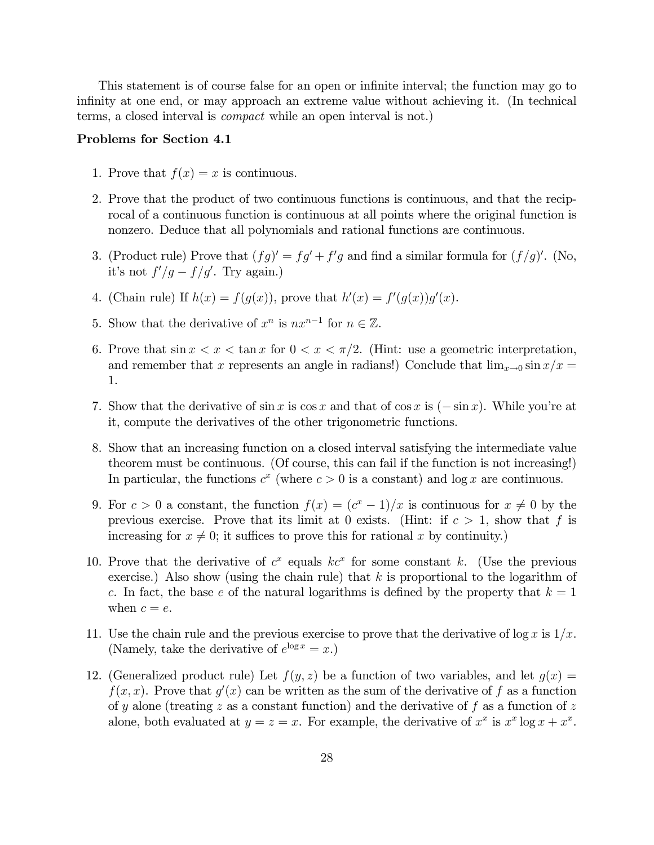This statement is of course false for an open or infinite interval; the function may go to infinity at one end, or may approach an extreme value without achieving it. (In technical terms, a closed interval is compact while an open interval is not.)

### Problems for Section 4.1

- 1. Prove that  $f(x) = x$  is continuous.
- 2. Prove that the product of two continuous functions is continuous, and that the reciprocal of a continuous function is continuous at all points where the original function is nonzero. Deduce that all polynomials and rational functions are continuous.
- 3. (Product rule) Prove that  $(fg)' = fg' + f'g$  and find a similar formula for  $(f/g)'$ . (No, it's not  $f'/g - f/g'$ . Try again.)
- 4. (Chain rule) If  $h(x) = f(g(x))$ , prove that  $h'(x) = f'(g(x))g'(x)$ .
- 5. Show that the derivative of  $x^n$  is  $nx^{n-1}$  for  $n \in \mathbb{Z}$ .
- 6. Prove that  $\sin x < x < \tan x$  for  $0 < x < \pi/2$ . (Hint: use a geometric interpretation, and remember that x represents an angle in radians!) Conclude that  $\lim_{x\to 0} \sin x/x=$ 1.
- 7. Show that the derivative of  $\sin x$  is  $\cos x$  and that of  $\cos x$  is  $(-\sin x)$ . While you're at it, compute the derivatives of the other trigonometric functions.
- 8. Show that an increasing function on a closed interval satisfying the intermediate value theorem must be continuous. (Of course, this can fail if the function is not increasing!) In particular, the functions  $c^x$  (where  $c > 0$  is a constant) and log x are continuous.
- 9. For  $c > 0$  a constant, the function  $f(x) = (c^x 1)/x$  is continuous for  $x \neq 0$  by the previous exercise. Prove that its limit at 0 exists. (Hint: if  $c > 1$ , show that f is increasing for  $x \neq 0$ ; it suffices to prove this for rational x by continuity.)
- 10. Prove that the derivative of  $c^x$  equals  $kc^x$  for some constant k. (Use the previous exercise.) Also show (using the chain rule) that  $k$  is proportional to the logarithm of c. In fact, the base e of the natural logarithms is defined by the property that  $k = 1$ when  $c = e$ .
- 11. Use the chain rule and the previous exercise to prove that the derivative of  $\log x$  is  $1/x$ . (Namely, take the derivative of  $e^{\log x} = x$ .)
- 12. (Generalized product rule) Let  $f(y, z)$  be a function of two variables, and let  $g(x) =$  $f(x, x)$ . Prove that  $g'(x)$  can be written as the sum of the derivative of f as a function of y alone (treating z as a constant function) and the derivative of f as a function of z alone, both evaluated at  $y = z = x$ . For example, the derivative of  $x^x$  is  $x^x \log x + x^x$ .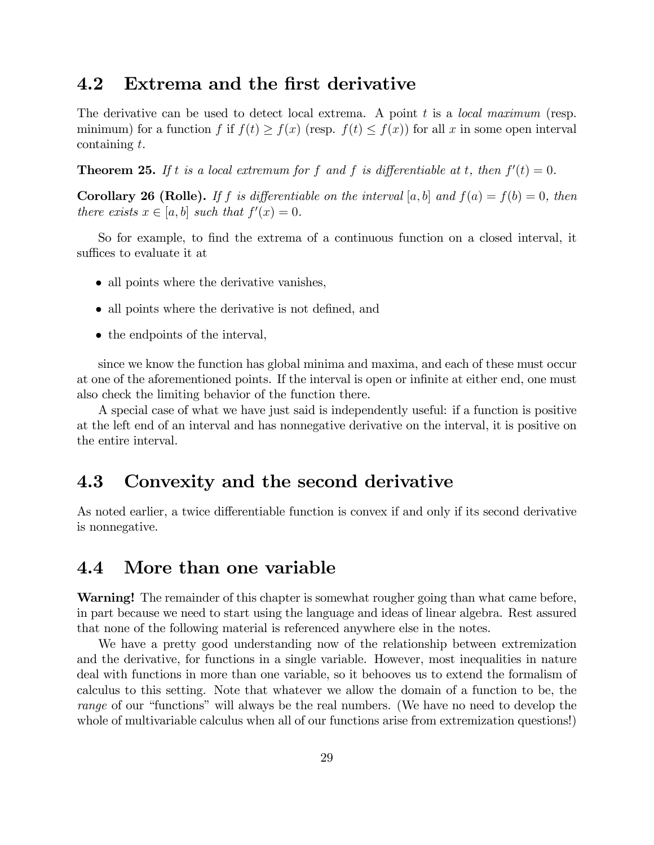## 4.2 Extrema and the first derivative

The derivative can be used to detect local extrema. A point  $t$  is a *local maximum* (resp. minimum) for a function f if  $f(t) \ge f(x)$  (resp.  $f(t) \le f(x)$ ) for all x in some open interval containing t.

**Theorem 25.** If t is a local extremum for f and f is differentiable at t, then  $f'(t) = 0$ .

**Corollary 26 (Rolle).** If f is differentiable on the interval [a, b] and  $f(a) = f(b) = 0$ , then there exists  $x \in [a, b]$  such that  $f'(x) = 0$ .

So for example, to find the extrema of a continuous function on a closed interval, it suffices to evaluate it at

- all points where the derivative vanishes,
- all points where the derivative is not defined, and
- the endpoints of the interval,

since we know the function has global minima and maxima, and each of these must occur at one of the aforementioned points. If the interval is open or infinite at either end, one must also check the limiting behavior of the function there.

A special case of what we have just said is independently useful: if a function is positive at the left end of an interval and has nonnegative derivative on the interval, it is positive on the entire interval.

## 4.3 Convexity and the second derivative

As noted earlier, a twice differentiable function is convex if and only if its second derivative is nonnegative.

### 4.4 More than one variable

Warning! The remainder of this chapter is somewhat rougher going than what came before, in part because we need to start using the language and ideas of linear algebra. Rest assured that none of the following material is referenced anywhere else in the notes.

We have a pretty good understanding now of the relationship between extremization and the derivative, for functions in a single variable. However, most inequalities in nature deal with functions in more than one variable, so it behooves us to extend the formalism of calculus to this setting. Note that whatever we allow the domain of a function to be, the range of our "functions" will always be the real numbers. (We have no need to develop the whole of multivariable calculus when all of our functions arise from extremization questions!)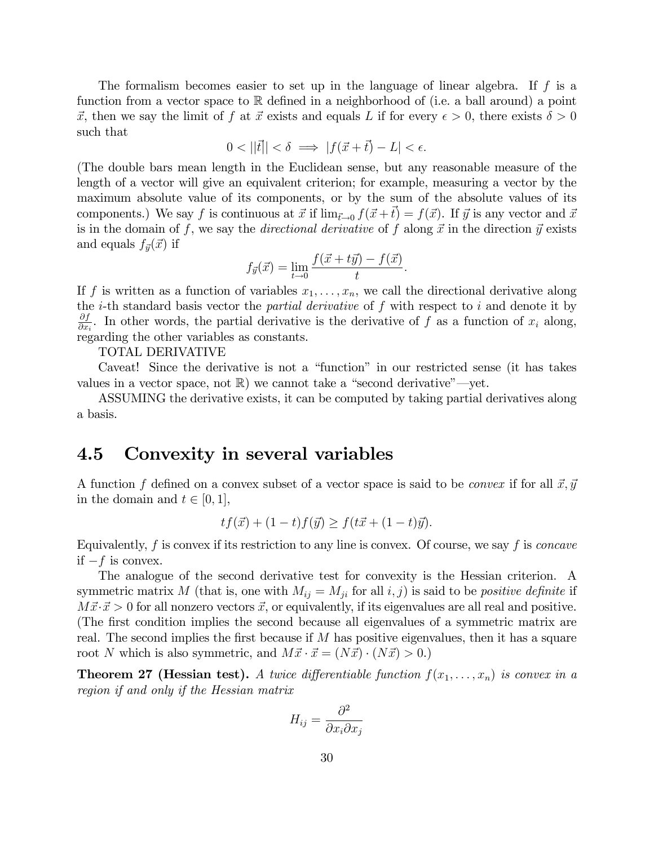The formalism becomes easier to set up in the language of linear algebra. If  $f$  is a function from a vector space to  $\mathbb R$  defined in a neighborhood of (i.e. a ball around) a point  $\vec{x}$ , then we say the limit of f at  $\vec{x}$  exists and equals L if for every  $\epsilon > 0$ , there exists  $\delta > 0$ such that

$$
0 < ||\vec{t}|| < \delta \implies |f(\vec{x} + \vec{t}) - L| < \epsilon.
$$

(The double bars mean length in the Euclidean sense, but any reasonable measure of the length of a vector will give an equivalent criterion; for example, measuring a vector by the maximum absolute value of its components, or by the sum of the absolute values of its components.) We say f is continuous at  $\vec{x}$  if  $\lim_{\vec{t} \to 0} f(\vec{x} + \vec{t}) = f(\vec{x})$ . If  $\vec{y}$  is any vector and  $\vec{x}$ is in the domain of f, we say the *directional derivative* of f along  $\vec{x}$  in the direction  $\vec{y}$  exists and equals  $f_{\vec{y}}(\vec{x})$  if

$$
f_{\vec{y}}(\vec{x}) = \lim_{t \to 0} \frac{f(\vec{x} + t\vec{y}) - f(\vec{x})}{t}.
$$

If f is written as a function of variables  $x_1, \ldots, x_n$ , we call the directional derivative along the *i*-th standard basis vector the *partial derivative* of  $f$  with respect to  $i$  and denote it by  $\partial f$  $\frac{\partial f}{\partial x_i}$ . In other words, the partial derivative is the derivative of f as a function of  $x_i$  along, regarding the other variables as constants.

#### TOTAL DERIVATIVE

Caveat! Since the derivative is not a "function" in our restricted sense (it has takes values in a vector space, not  $\mathbb{R}$ ) we cannot take a "second derivative"—yet.

ASSUMING the derivative exists, it can be computed by taking partial derivatives along a basis.

## 4.5 Convexity in several variables

A function f defined on a convex subset of a vector space is said to be *convex* if for all  $\vec{x}, \vec{y}$ in the domain and  $t \in [0, 1]$ ,

$$
tf(\vec{x}) + (1-t)f(\vec{y}) \ge f(t\vec{x} + (1-t)\vec{y}).
$$

Equivalently,  $f$  is convex if its restriction to any line is convex. Of course, we say  $f$  is *concave* if  $-f$  is convex.

The analogue of the second derivative test for convexity is the Hessian criterion. A symmetric matrix M (that is, one with  $M_{ij} = M_{ji}$  for all  $i, j$ ) is said to be *positive definite* if  $M\vec{x}\cdot\vec{x} > 0$  for all nonzero vectors  $\vec{x}$ , or equivalently, if its eigenvalues are all real and positive. (The first condition implies the second because all eigenvalues of a symmetric matrix are real. The second implies the first because if  $M$  has positive eigenvalues, then it has a square root N which is also symmetric, and  $M\vec{x} \cdot \vec{x} = (N\vec{x}) \cdot (N\vec{x}) > 0.$ 

**Theorem 27 (Hessian test).** A twice differentiable function  $f(x_1, \ldots, x_n)$  is convex in a region if and only if the Hessian matrix

$$
H_{ij} = \frac{\partial^2}{\partial x_i \partial x_j}
$$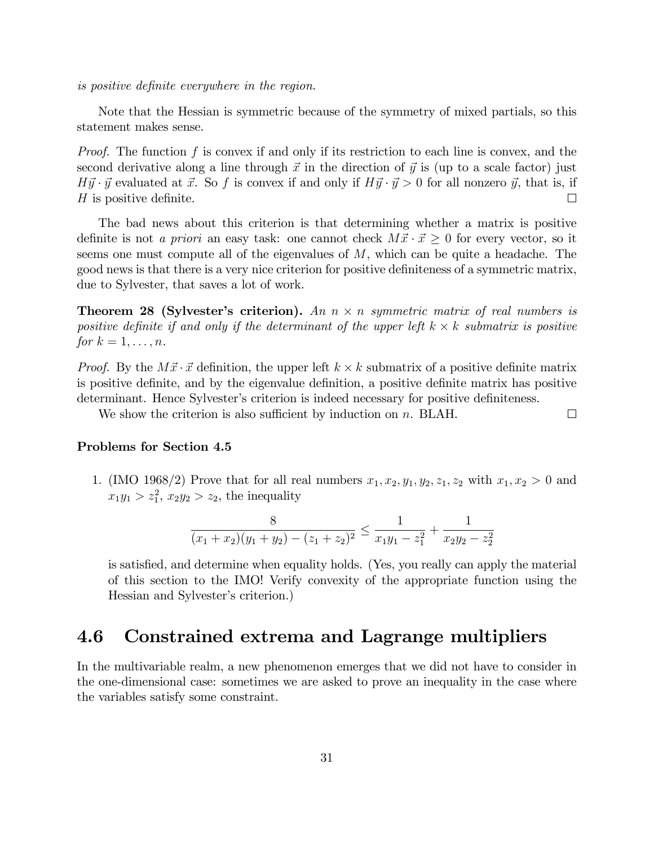is positive definite everywhere in the region.

Note that the Hessian is symmetric because of the symmetry of mixed partials, so this statement makes sense.

*Proof.* The function  $f$  is convex if and only if its restriction to each line is convex, and the second derivative along a line through  $\vec{x}$  in the direction of  $\vec{y}$  is (up to a scale factor) just  $H\vec{y} \cdot \vec{y}$  evaluated at  $\vec{x}$ . So f is convex if and only if  $H\vec{y} \cdot \vec{y} > 0$  for all nonzero  $\vec{y}$ , that is, if  $H$  is positive definite.  $H$  is positive definite.

The bad news about this criterion is that determining whether a matrix is positive definite is not a priori an easy task: one cannot check  $M\vec{x} \cdot \vec{x} \geq 0$  for every vector, so it seems one must compute all of the eigenvalues of  $M$ , which can be quite a headache. The good news is that there is a very nice criterion for positive definiteness of a symmetric matrix, due to Sylvester, that saves a lot of work.

**Theorem 28 (Sylvester's criterion).** An  $n \times n$  symmetric matrix of real numbers is positive definite if and only if the determinant of the upper left  $k \times k$  submatrix is positive for  $k = 1, \ldots, n$ .

*Proof.* By the  $M\vec{x} \cdot \vec{x}$  definition, the upper left  $k \times k$  submatrix of a positive definite matrix is positive definite, and by the eigenvalue definition, a positive definite matrix has positive determinant. Hence Sylvester's criterion is indeed necessary for positive definiteness.

We show the criterion is also sufficient by induction on  $n$ . BLAH.

 $\Box$ 

### Problems for Section 4.5

1. (IMO 1968/2) Prove that for all real numbers  $x_1, x_2, y_1, y_2, z_1, z_2$  with  $x_1, x_2 > 0$  and  $x_1y_1 > z_1^2, x_2y_2 > z_2$ , the inequality

$$
\frac{8}{(x_1+x_2)(y_1+y_2)-(z_1+z_2)^2} \le \frac{1}{x_1y_1-z_1^2} + \frac{1}{x_2y_2-z_2^2}
$$

is satisfied, and determine when equality holds. (Yes, you really can apply the material of this section to the IMO! Verify convexity of the appropriate function using the Hessian and Sylvester's criterion.)

## 4.6 Constrained extrema and Lagrange multipliers

In the multivariable realm, a new phenomenon emerges that we did not have to consider in the one-dimensional case: sometimes we are asked to prove an inequality in the case where the variables satisfy some constraint.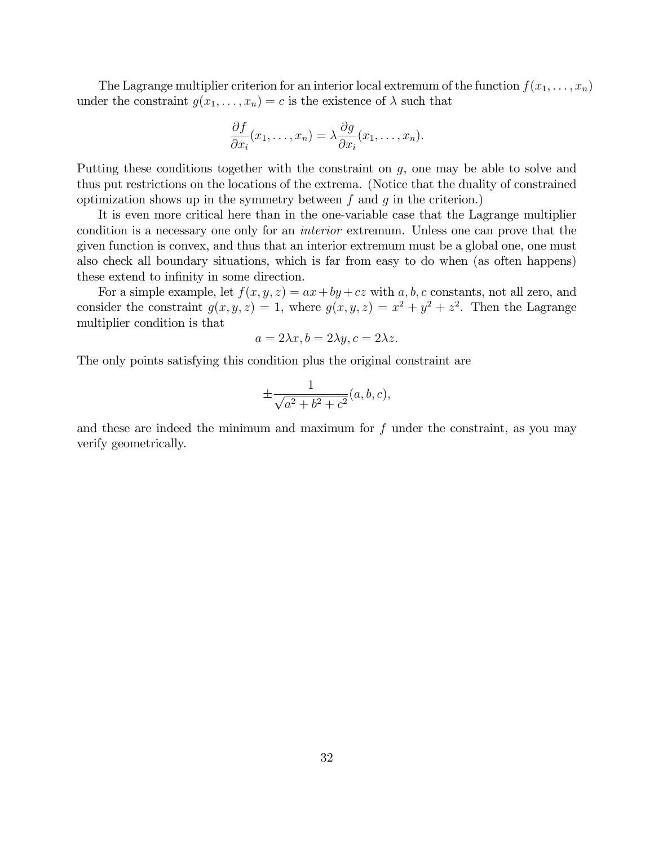The Lagrange multiplier criterion for an interior local extremum of the function  $f(x_1, \ldots, x_n)$ under the constraint  $g(x_1, \ldots, x_n) = c$  is the existence of  $\lambda$  such that

$$
\frac{\partial f}{\partial x_i}(x_1,\ldots,x_n)=\lambda\frac{\partial g}{\partial x_i}(x_1,\ldots,x_n).
$$

Putting these conditions together with the constraint on  $g$ , one may be able to solve and thus put restrictions on the locations of the extrema. (Notice that the duality of constrained optimization shows up in the symmetry between  $f$  and  $g$  in the criterion.)

It is even more critical here than in the one-variable case that the Lagrange multiplier condition is a necessary one only for an interior extremum. Unless one can prove that the given function is convex, and thus that an interior extremum must be a global one, one must also check all boundary situations, which is far from easy to do when (as often happens) these extend to infinity in some direction.

For a simple example, let  $f(x, y, z) = ax + by + cz$  with a, b, c constants, not all zero, and consider the constraint  $g(x, y, z) = 1$ , where  $g(x, y, z) = x^2 + y^2 + z^2$ . Then the Lagrange multiplier condition is that

$$
a = 2\lambda x, b = 2\lambda y, c = 2\lambda z.
$$

The only points satisfying this condition plus the original constraint are

$$
\pm \frac{1}{\sqrt{a^2 + b^2 + c^2}} (a, b, c),
$$

and these are indeed the minimum and maximum for  $f$  under the constraint, as you may verify geometrically.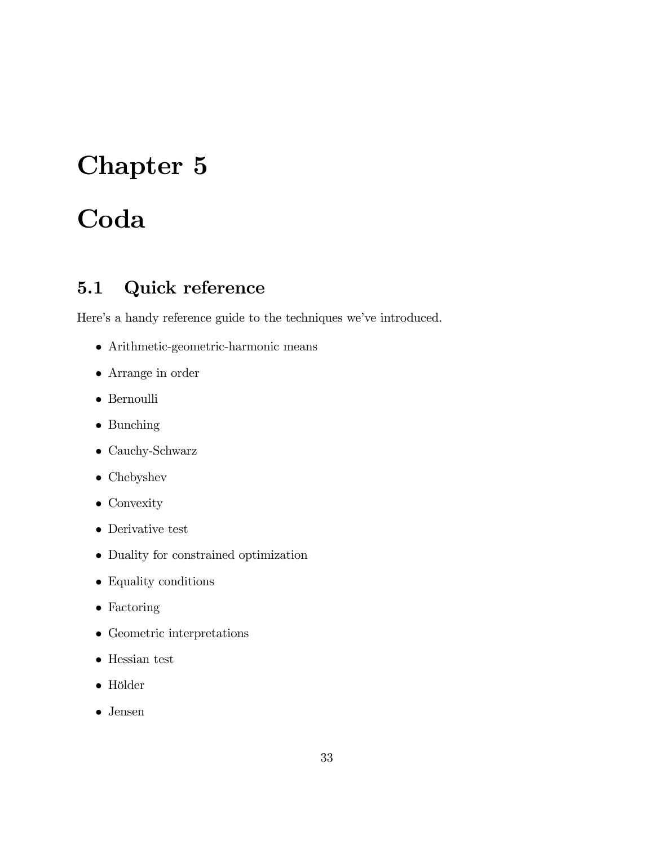# Chapter 5

# Coda

## 5.1 Quick reference

Here's a handy reference guide to the techniques we've introduced.

- Arithmetic-geometric-harmonic means
- Arrange in order
- Bernoulli
- Bunching
- Cauchy-Schwarz
- Chebyshev
- Convexity
- Derivative test
- Duality for constrained optimization
- Equality conditions
- Factoring
- Geometric interpretations
- Hessian test
- $\bullet$  Hölder
- Jensen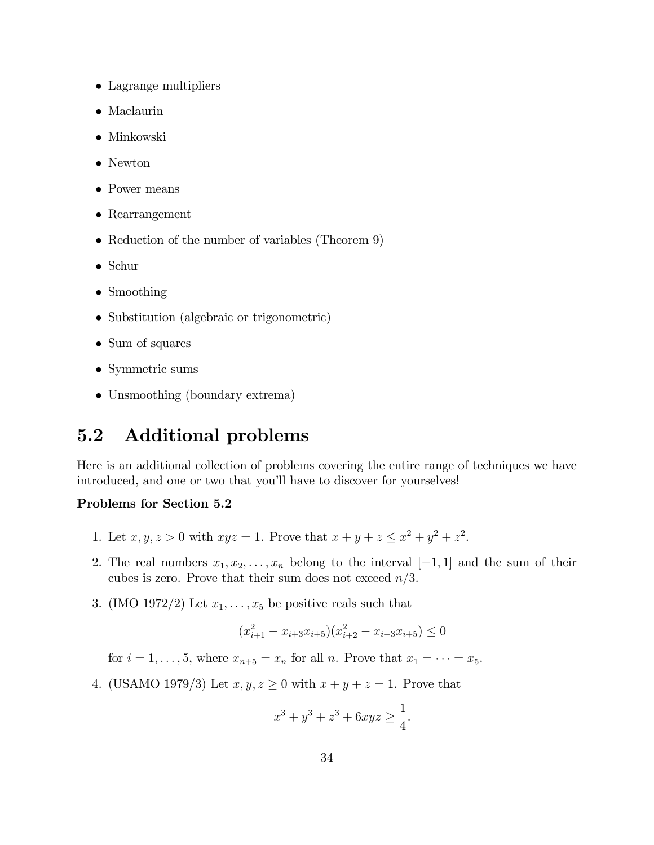- Lagrange multipliers
- Maclaurin
- Minkowski
- Newton
- Power means
- Rearrangement
- Reduction of the number of variables (Theorem 9)
- Schur
- Smoothing
- Substitution (algebraic or trigonometric)
- Sum of squares
- Symmetric sums
- Unsmoothing (boundary extrema)

## 5.2 Additional problems

Here is an additional collection of problems covering the entire range of techniques we have introduced, and one or two that you'll have to discover for yourselves!

### Problems for Section 5.2

- 1. Let  $x, y, z > 0$  with  $xyz = 1$ . Prove that  $x + y + z \leq x^2 + y^2 + z^2$ .
- 2. The real numbers  $x_1, x_2, \ldots, x_n$  belong to the interval  $[-1, 1]$  and the sum of their cubes is zero. Prove that their sum does not exceed  $n/3$ .
- 3. (IMO 1972/2) Let  $x_1, \ldots, x_5$  be positive reals such that

$$
(x_{i+1}^2 - x_{i+3}x_{i+5})(x_{i+2}^2 - x_{i+3}x_{i+5}) \le 0
$$

for  $i = 1, \ldots, 5$ , where  $x_{n+5} = x_n$  for all n. Prove that  $x_1 = \cdots = x_5$ .

4. (USAMO 1979/3) Let  $x, y, z \ge 0$  with  $x + y + z = 1$ . Prove that

$$
x^3 + y^3 + z^3 + 6xyz \ge \frac{1}{4}.
$$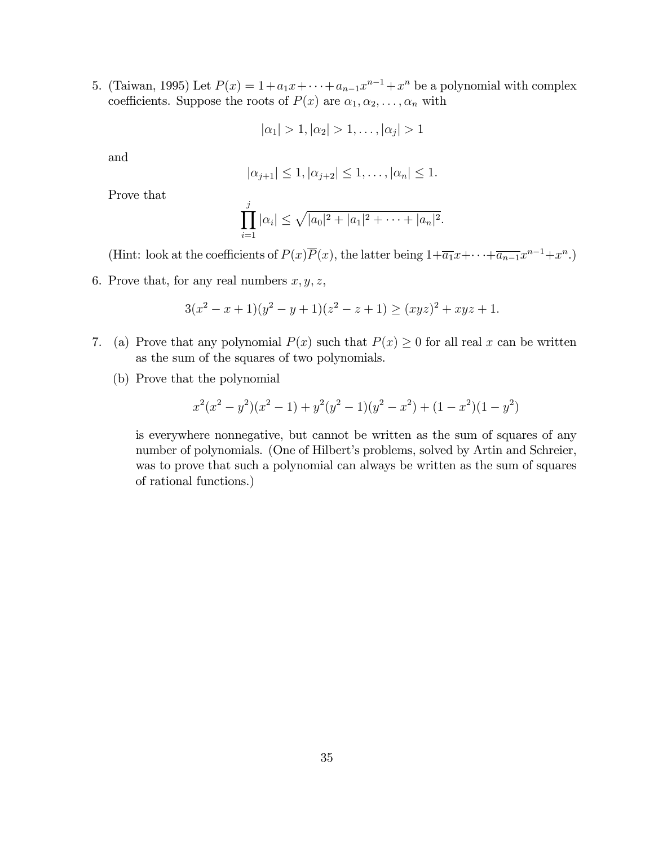5. (Taiwan, 1995) Let  $P(x) = 1 + a_1x + \cdots + a_{n-1}x^{n-1} + x^n$  be a polynomial with complex coefficients. Suppose the roots of  $P(x)$  are  $\alpha_1, \alpha_2, \ldots, \alpha_n$  with

$$
|\alpha_1|>1, |\alpha_2|>1,\ldots, |\alpha_j|>1
$$

and

$$
|\alpha_{j+1}| \le 1, |\alpha_{j+2}| \le 1, ..., |\alpha_n| \le 1.
$$

Prove that

$$
\prod_{i=1}^j |\alpha_i| \leq \sqrt{|a_0|^2 + |a_1|^2 + \cdots + |a_n|^2}.
$$

(Hint: look at the coefficients of  $P(x)\overline{P}(x)$ , the latter being  $1+\overline{a_1}x+\cdots+\overline{a_{n-1}}x^{n-1}+x^n$ .)

6. Prove that, for any real numbers  $x, y, z$ ,

$$
3(x2 - x + 1)(y2 - y + 1)(z2 - z + 1) \ge (xyz)2 + xyz + 1.
$$

- 7. (a) Prove that any polynomial  $P(x)$  such that  $P(x) \ge 0$  for all real x can be written as the sum of the squares of two polynomials.
	- (b) Prove that the polynomial

$$
x^{2}(x^{2}-y^{2})(x^{2}-1)+y^{2}(y^{2}-1)(y^{2}-x^{2})+(1-x^{2})(1-y^{2})
$$

is everywhere nonnegative, but cannot be written as the sum of squares of any number of polynomials. (One of Hilbert's problems, solved by Artin and Schreier, was to prove that such a polynomial can always be written as the sum of squares of rational functions.)